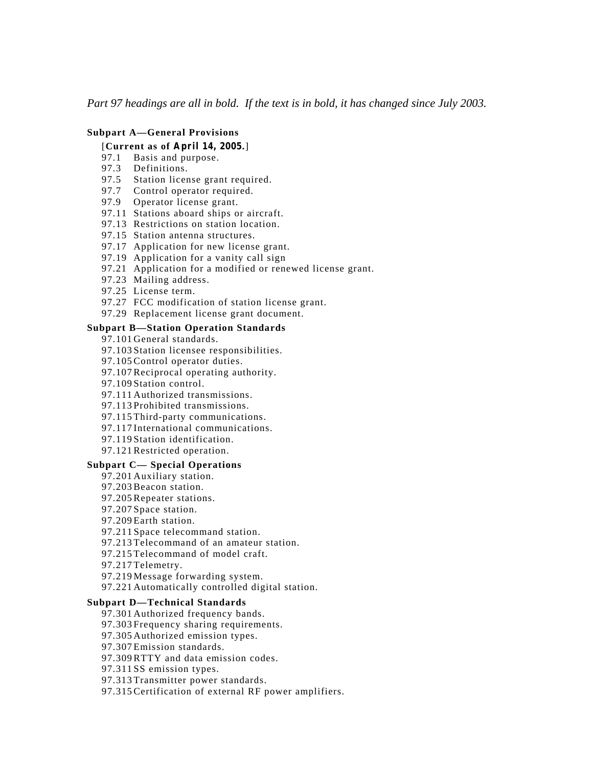# *Part 97 headings are all in bold. If the text is in bold, it has changed since July 2003.*

# **Subpart A—General Provisions**

# [**Current as of April 14, 2005.**]

- 97.1 Basis and purpose.
- 97.3 Definitions.
- 97.5 Station license grant required.
- 97.7 Control operator required.
- 97.9 Operator license grant.
- 97.11 Stations aboard ships or aircraft.
- 97.13 Restrictions on station location.
- 97.15 Station antenna structures.
- 97.17 Application for new license grant.
- 97.19 Application for a vanity call sign
- 97.21 Application for a modified or renewed license grant.
- 97.23 Mailing address.
- 97.25 License term.
- 97.27 FCC modification of station license grant.
- 97.29 Replacement license grant document.

# **Subpart B—Station Operation Standards**

97.101 General standards.

- 97.103 Station licensee responsibilities.
- 97.105 Control operator duties.
- 97.107 Reciprocal operating authority.

97.109 Station control.

- 97.111 Authorized transmissions.
- 97.113 Prohibited transmissions.
- 97.115 Third-party communications.
- 97.117 International communications.
- 97.119 Station identification.
- 97.121 Restricted operation.

# **Subpart C— Special Operations**

- 97.201 Auxiliary station.
- 97.203 Beacon station.
- 97.205 Repeater stations.
- 97.207 Space station.
- 97.209 Earth station.
- 97.211 Space telecommand station.
- 97.213 Telecommand of an amateur station.
- 97.215 Telecommand of model craft.
- 97.217 Telemetry.
- 97.219 Message forwarding system.
- 97.221 Automatically controlled digital station.

# **Subpart D—Technical Standards**

- 97.301 Authorized frequency bands.
- 97.303 Frequency sharing requirements.
- 97.305 Authorized emission types.
- 97.307 Emission standards.
- 97.309 RTTY and data emission codes.
- 97.311 SS emission types.
- 97.313 Transmitter power standards.
- 97.315 Certification of external RF power amplifiers.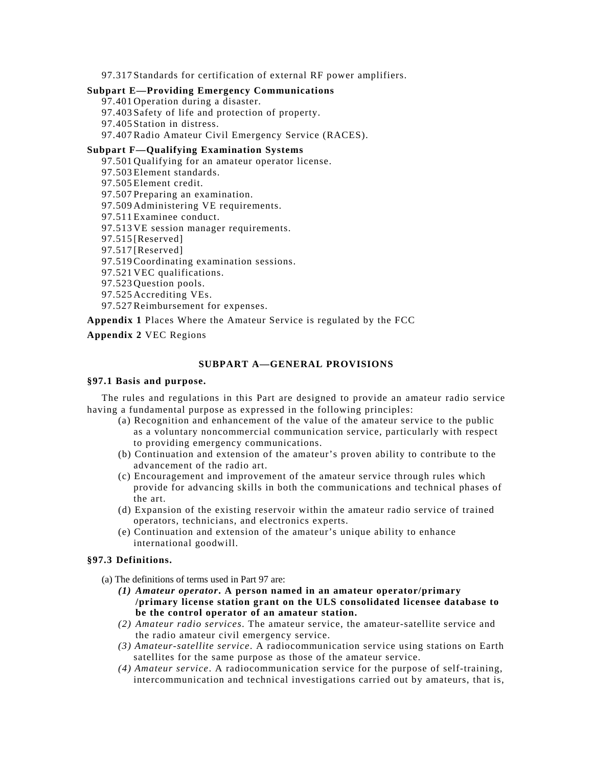97.317 Standards for certification of external RF power amplifiers.

#### **Subpart E—Providing Emergency Communications**

97.401 Operation during a disaster.

97.403 Safety of life and protection of property.

97.405 Station in distress. 97.407 Radio Amateur Civil Emergency Service (RACES).

# **Subpart F—Qualifying Examination Systems**

97.501 Qualifying for an amateur operator license.

97.503 Element standards.

97.505 Element credit.

97.507 Preparing an examination.

97.509 Administering VE requirements.

97.511 Examinee conduct.

97.513 VE session manager requirements.

97.515 [Reserved]

97.517 [Reserved]

97.519 Coordinating examination sessions.

97.521 VEC qualifications.

97.523 Question pools.

97.525 Accrediting VEs.

97.527 Reimbursement for expenses.

**Appendix 1** Places Where the Amateur Service is regulated by the FCC

**Appendix 2** VEC Regions

#### **SUBPART A—GENERAL PROVISIONS**

#### **§97.1 Basis and purpose.**

The rules and regulations in this Part are designed to provide an amateur radio service having a fundamental purpose as expressed in the following principles:

- (a) Recognition and enhancement of the value of the amateur service to the public as a voluntary noncommercial communication service, particularly with respect to providing emergency communications.
- (b) Continuation and extension of the amateur's proven ability to contribute to the advancement of the radio art.
- (c) Encouragement and improvement of the amateur service through rules which provide for advancing skills in both the communications and technical phases of the art.
- (d) Expansion of the existing reservoir within the amateur radio service of trained operators, technicians, and electronics experts.
- (e) Continuation and extension of the amateur's unique ability to enhance international goodwill.

# **§97.3 Definitions.**

(a) The definitions of terms used in Part 97 are:

- *(1) Amateur operator***. A person named in an amateur operator/primary /primary license station grant on the ULS consolidated licensee database to be the control operator of an amateur station.**
- *(2) Amateur radio services*. The amateur service, the amateur-satellite service and the radio amateur civil emergency service.
- *(3) Amateur-satellite service*. A radiocommunication service using stations on Earth satellites for the same purpose as those of the amateur service.
- *(4) Amateur service*. A radiocommunication service for the purpose of self-training, intercommunication and technical investigations carried out by amateurs, that is,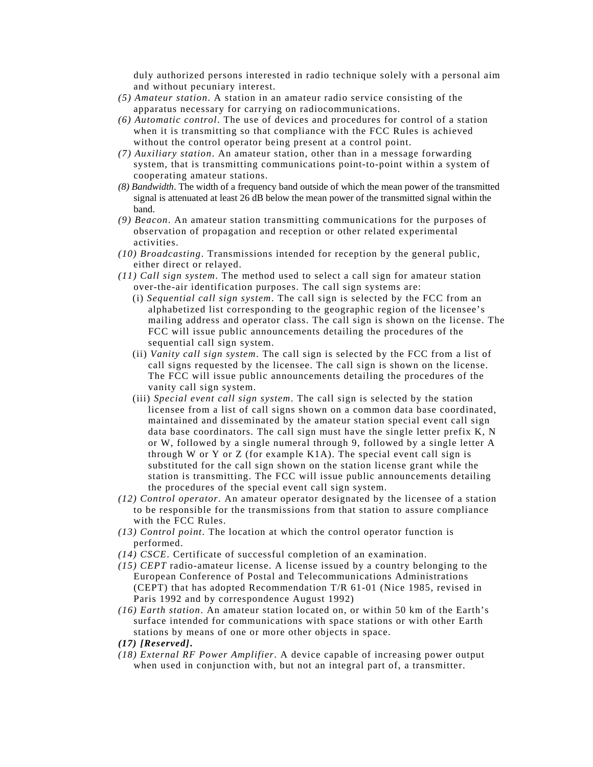duly authorized persons interested in radio technique solely with a personal aim and without pecuniary interest.

- *(5) Amateur station*. A station in an amateur radio service consisting of the apparatus necessary for carrying on radiocommunications.
- *(6) Automatic control*. The use of devices and procedures for control of a station when it is transmitting so that compliance with the FCC Rules is achieved without the control operator being present at a control point.
- *(7) Auxiliary station*. An amateur station, other than in a message forwarding system, that is transmitting communications point-to-point within a system of cooperating amateur stations.
- *(8) Bandwidth*. The width of a frequency band outside of which the mean power of the transmitted signal is attenuated at least 26 dB below the mean power of the transmitted signal within the band.
- *(9) Beacon*. An amateur station transmitting communications for the purposes of observation of propagation and reception or other related experimental activities.
- *(10) Broadcasting*. Transmissions intended for reception by the general public, either direct or relayed.
- *(11) Call sign system*. The method used to select a call sign for amateur station over-the-air identification purposes. The call sign systems are:
	- (i) *Sequential call sign system*. The call sign is selected by the FCC from an alphabetized list corresponding to the geographic region of the licensee's mailing address and operator class. The call sign is shown on the license. The FCC will issue public announcements detailing the procedures of the sequential call sign system.
	- (ii) *Vanity call sign system*. The call sign is selected by the FCC from a list of call signs requested by the licensee. The call sign is shown on the license. The FCC will issue public announcements detailing the procedures of the vanity call sign system.
	- (iii) *Special event call sign system*. The call sign is selected by the station licensee from a list of call signs shown on a common data base coordinated, maintained and disseminated by the amateur station special event call sign data base coordinators. The call sign must have the single letter prefix K, N or W, followed by a single numeral through 9, followed by a single letter A through W or Y or Z (for example  $K1A$ ). The special event call sign is substituted for the call sign shown on the station license grant while the station is transmitting. The FCC will issue public announcements detailing the procedures of the special event call sign system.
- *(12) Control operator*. An amateur operator designated by the licensee of a station to be responsible for the transmissions from that station to assure compliance with the FCC Rules.
- *(13) Control point*. The location at which the control operator function is performed.
- *(14) CSCE*. Certificate of successful completion of an examination.
- *(15) CEPT* radio-amateur license. A license issued by a country belonging to the European Conference of Postal and Telecommunications Administrations (CEPT) that has adopted Recommendation T/R 61-01 (Nice 1985, revised in Paris 1992 and by correspondence August 1992)
- *(16) Earth station*. An amateur station located on, or within 50 km of the Earth's surface intended for communications with space stations or with other Earth stations by means of one or more other objects in space.
- *(17) [Reserved]***.**
- *(18) External RF Power Amplifier*. A device capable of increasing power output when used in conjunction with, but not an integral part of, a transmitter.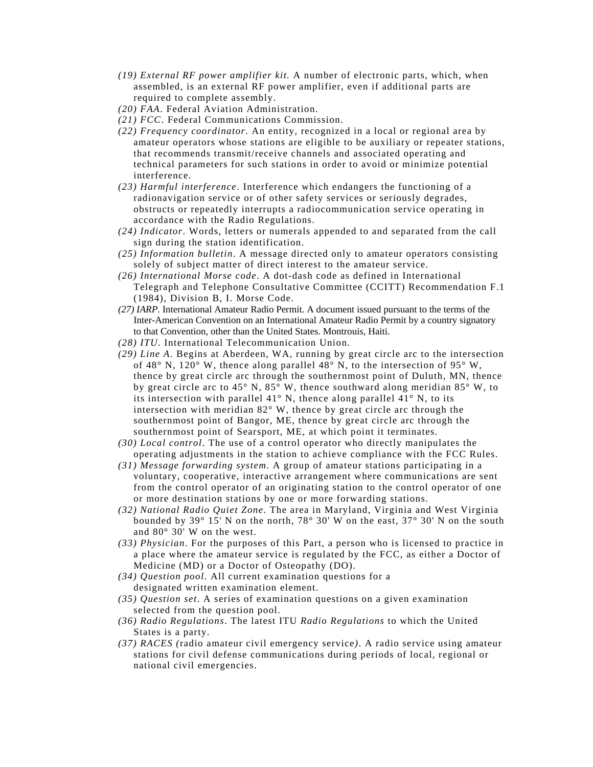- *(19) External RF power amplifier kit.* A number of electronic parts, which, when assembled, is an external RF power amplifier, even if additional parts are required to complete assembly.
- *(20) FAA*. Federal Aviation Administration.
- *(21) FCC*. Federal Communications Commission.
- *(22) Frequency coordinator*. An entity, recognized in a local or regional area by amateur operators whose stations are eligible to be auxiliary or repeater stations, that recommends transmit/receive channels and associated operating and technical parameters for such stations in order to avoid or minimize potential interference.
- *(23) Harmful interference*. Interference which endangers the functioning of a radionavigation service or of other safety services or seriously degrades, obstructs or repeatedly interrupts a radiocommunication service operating in accordance with the Radio Regulations.
- *(24) Indicator*. Words, letters or numerals appended to and separated from the call sign during the station identification.
- *(25) Information bulletin*. A message directed only to amateur operators consisting solely of subject matter of direct interest to the amateur service.
- *(26) International Morse code*. A dot-dash code as defined in International Telegraph and Telephone Consultative Committee (CCITT) Recommendation F.1 (1984), Division B, I. Morse Code.
- *(27) IARP*. International Amateur Radio Permit. A document issued pursuant to the terms of the Inter-American Convention on an International Amateur Radio Permit by a country signatory to that Convention, other than the United States. Montrouis, Haiti.
- *(28) ITU*. International Telecommunication Union.
- *(29) Line A*. Begins at Aberdeen, WA, running by great circle arc to the intersection of 48° N, 120° W, thence along parallel 48° N, to the intersection of 95° W, thence by great circle arc through the southernmost point of Duluth, MN, thence by great circle arc to 45° N, 85° W, thence southward along meridian 85° W, to its intersection with parallel 41° N, thence along parallel 41° N, to its intersection with meridian 82° W, thence by great circle arc through the southernmost point of Bangor, ME, thence by great circle arc through the southernmost point of Searsport, ME, at which point it terminates.
- *(30) Local control*. The use of a control operator who directly manipulates the operating adjustments in the station to achieve compliance with the FCC Rules.
- *(31) Message forwarding system*. A group of amateur stations participating in a voluntary, cooperative, interactive arrangement where communications are sent from the control operator of an originating station to the control operator of one or more destination stations by one or more forwarding stations.
- *(32) National Radio Quiet Zone*. The area in Maryland, Virginia and West Virginia bounded by 39° 15' N on the north, 78° 30' W on the east, 37° 30' N on the south and 80° 30' W on the west.
- *(33) Physician*. For the purposes of this Part, a person who is licensed to practice in a place where the amateur service is regulated by the FCC, as either a Doctor of Medicine (MD) or a Doctor of Osteopathy (DO).
- *(34) Question pool*. All current examination questions for a designated written examination element.
- *(35) Question set*. A series of examination questions on a given examination selected from the question pool.
- *(36) Radio Regulations*. The latest ITU *Radio Regulations* to which the United States is a party.
- *(37) RACES (*radio amateur civil emergency service*)*. A radio service using amateur stations for civil defense communications during periods of local, regional or national civil emergencies.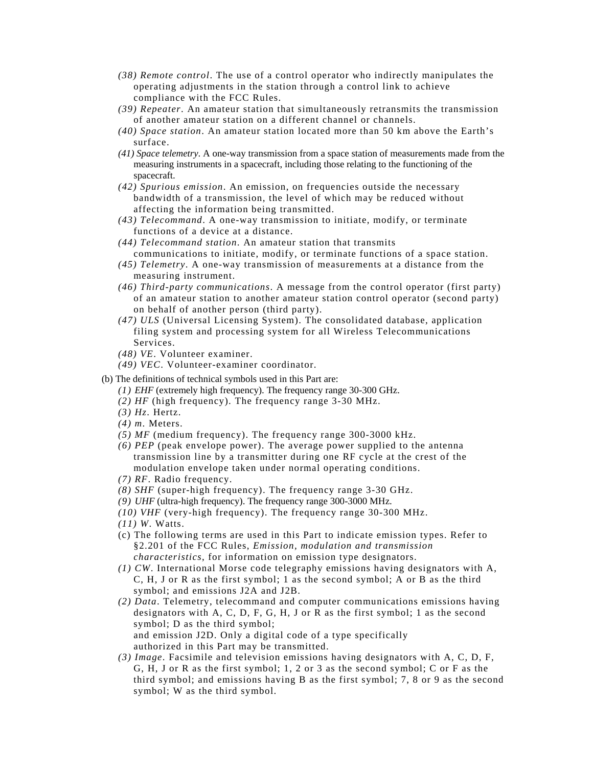- *(38) Remote control*. The use of a control operator who indirectly manipulates the operating adjustments in the station through a control link to achieve compliance with the FCC Rules.
- *(39) Repeater*. An amateur station that simultaneously retransmits the transmission of another amateur station on a different channel or channels.
- *(40) Space station*. An amateur station located more than 50 km above the Earth's surface.
- *(41) Space telemetry*. A one-way transmission from a space station of measurements made from the measuring instruments in a spacecraft, including those relating to the functioning of the spacecraft.
- *(42) Spurious emission*. An emission, on frequencies outside the necessary bandwidth of a transmission, the level of which may be reduced without affecting the information being transmitted.
- *(43) Telecommand*. A one-way transmission to initiate, modify, or terminate functions of a device at a distance.
- *(44) Telecommand station*. An amateur station that transmits communications to initiate, modify, or terminate functions of a space station.
- *(45) Telemetry*. A one-way transmission of measurements at a distance from the measuring instrument.
- *(46) Third-party communications*. A message from the control operator (first party) of an amateur station to another amateur station control operator (second party) on behalf of another person (third party).
- *(47) ULS* (Universal Licensing System). The consolidated database, application filing system and processing system for all Wireless Telecommunications Services.
- *(48) VE*. Volunteer examiner.
- *(49) VEC*. Volunteer-examiner coordinator.
- (b) The definitions of technical symbols used in this Part are:
	- *(1) EHF* (extremely high frequency). The frequency range 30-300 GHz.
	- *(2) HF* (high frequency). The frequency range 3-30 MHz.
	- *(3) Hz*. Hertz.
	- *(4) m*. Meters.
	- *(5) MF* (medium frequency). The frequency range 300-3000 kHz.
	- *(6) PEP* (peak envelope power). The average power supplied to the antenna transmission line by a transmitter during one RF cycle at the crest of the modulation envelope taken under normal operating conditions.
	- *(7) RF*. Radio frequency.
	- *(8) SHF* (super-high frequency). The frequency range 3-30 GHz.
	- *(9) UHF* (ultra-high frequency). The frequency range 300-3000 MHz.
	- *(10) VHF* (very-high frequency). The frequency range 30-300 MHz.
	- *(11) W*. Watts.
	- (c) The following terms are used in this Part to indicate emission types. Refer to §2.201 of the FCC Rules, *Emission, modulation and transmission characteristics*, for information on emission type designators.
	- *(1) CW*. International Morse code telegraphy emissions having designators with A, C, H, J or R as the first symbol; 1 as the second symbol; A or B as the third symbol; and emissions J2A and J2B.
	- *(2) Data*. Telemetry, telecommand and computer communications emissions having designators with A, C, D, F, G, H, J or R as the first symbol; 1 as the second symbol; D as the third symbol; and emission J2D. Only a digital code of a type specifically
		- authorized in this Part may be transmitted.
	- *(3) Image*. Facsimile and television emissions having designators with A, C, D, F, G, H, J or R as the first symbol; 1, 2 or 3 as the second symbol; C or F as the third symbol; and emissions having B as the first symbol; 7, 8 or 9 as the second symbol; W as the third symbol.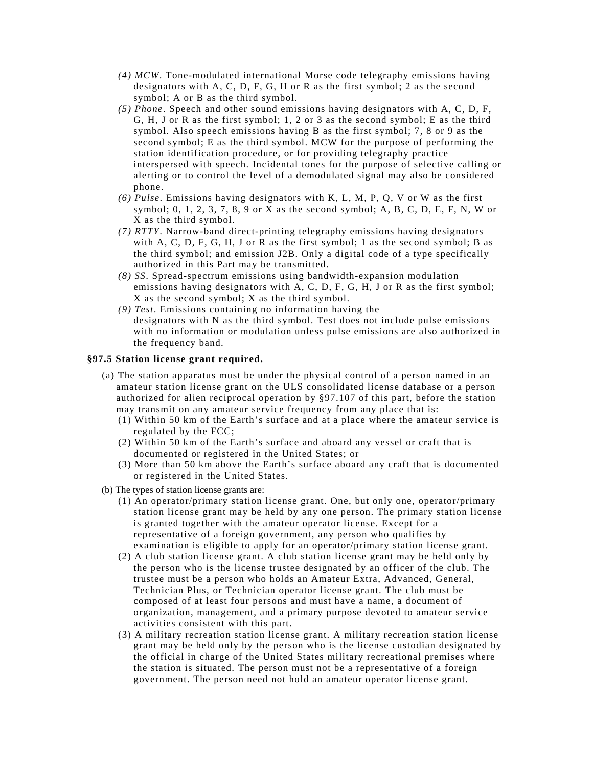- *(4) MCW*. Tone-modulated international Morse code telegraphy emissions having designators with A, C, D, F, G, H or R as the first symbol; 2 as the second symbol; A or B as the third symbol.
- *(5) Phone*. Speech and other sound emissions having designators with A, C, D, F, G, H, J or R as the first symbol; 1, 2 or 3 as the second symbol; E as the third symbol. Also speech emissions having B as the first symbol; 7, 8 or 9 as the second symbol; E as the third symbol. MCW for the purpose of performing the station identification procedure, or for providing telegraphy practice interspersed with speech. Incidental tones for the purpose of selective calling or alerting or to control the level of a demodulated signal may also be considered phone.
- *(6) Pulse*. Emissions having designators with K, L, M, P, Q, V or W as the first symbol; 0, 1, 2, 3, 7, 8, 9 or X as the second symbol; A, B, C, D, E, F, N, W or X as the third symbol.
- *(7) RTTY*. Narrow-band direct-printing telegraphy emissions having designators with  $A, C, D, F, G, H, J$  or  $R$  as the first symbol; 1 as the second symbol; B as the third symbol; and emission J2B. Only a digital code of a type specifically authorized in this Part may be transmitted.
- *(8) SS*. Spread-spectrum emissions using bandwidth-expansion modulation emissions having designators with A, C, D, F, G, H, J or R as the first symbol; X as the second symbol; X as the third symbol.
- *(9) Test*. Emissions containing no information having the designators with N as the third symbol. Test does not include pulse emissions with no information or modulation unless pulse emissions are also authorized in the frequency band.

### **§97.5 Station license grant required.**

- (a) The station apparatus must be under the physical control of a person named in an amateur station license grant on the ULS consolidated license database or a person authorized for alien reciprocal operation by §97.107 of this part, before the station may transmit on any amateur service frequency from any place that is:
	- (1) Within 50 km of the Earth's surface and at a place where the amateur service is regulated by the FCC;
	- (2) Within 50 km of the Earth's surface and aboard any vessel or craft that is documented or registered in the United States; or
	- (3) More than 50 km above the Earth's surface aboard any craft that is documented or registered in the United States.
- (b) The types of station license grants are:
	- (1) An operator/primary station license grant. One, but only one, operator/primary station license grant may be held by any one person. The primary station license is granted together with the amateur operator license. Except for a representative of a foreign government, any person who qualifies by examination is eligible to apply for an operator/primary station license grant.
	- (2) A club station license grant. A club station license grant may be held only by the person who is the license trustee designated by an officer of the club. The trustee must be a person who holds an Amateur Extra, Advanced, General, Technician Plus, or Technician operator license grant. The club must be composed of at least four persons and must have a name, a document of organization, management, and a primary purpose devoted to amateur service activities consistent with this part.
	- (3) A military recreation station license grant. A military recreation station license grant may be held only by the person who is the license custodian designated by the official in charge of the United States military recreational premises where the station is situated. The person must not be a representative of a foreign government. The person need not hold an amateur operator license grant.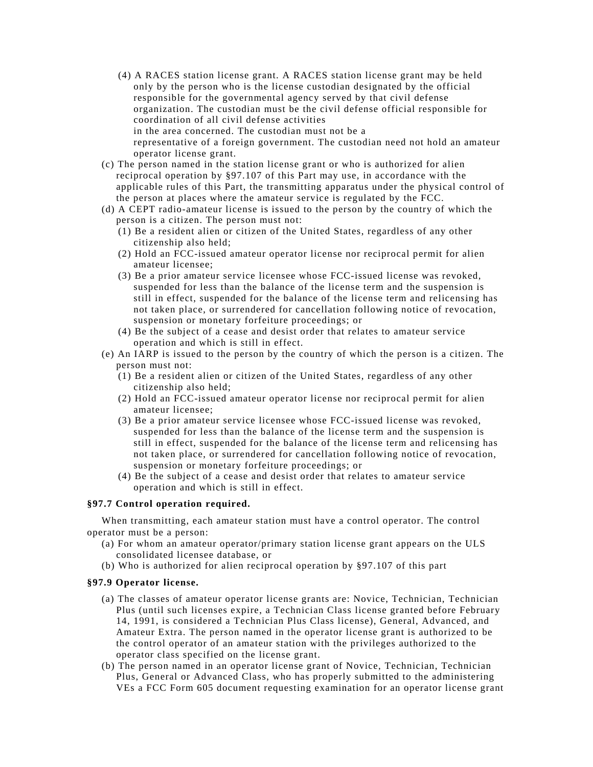- (4) A RACES station license grant. A RACES station license grant may be held only by the person who is the license custodian designated by the official responsible for the governmental agency served by that civil defense organization. The custodian must be the civil defense official responsible for coordination of all civil defense activities in the area concerned. The custodian must not be a representative of a foreign government. The custodian need not hold an amateur operator license grant.
- (c) The person named in the station license grant or who is authorized for alien reciprocal operation by §97.107 of this Part may use, in accordance with the applicable rules of this Part, the transmitting apparatus under the physical control of the person at places where the amateur service is regulated by the FCC.
- (d) A CEPT radio-amateur license is issued to the person by the country of which the person is a citizen. The person must not:
	- (1) Be a resident alien or citizen of the United States, regardless of any other citizenship also held;
	- (2) Hold an FCC-issued amateur operator license nor reciprocal permit for alien amateur licensee;
	- (3) Be a prior amateur service licensee whose FCC-issued license was revoked, suspended for less than the balance of the license term and the suspension is still in effect, suspended for the balance of the license term and relicensing has not taken place, or surrendered for cancellation following notice of revocation, suspension or monetary forfeiture proceedings; or
	- (4) Be the subject of a cease and desist order that relates to amateur service operation and which is still in effect.
- (e) An IARP is issued to the person by the country of which the person is a citizen. The person must not:
	- (1) Be a resident alien or citizen of the United States, regardless of any other citizenship also held;
	- (2) Hold an FCC-issued amateur operator license nor reciprocal permit for alien amateur licensee;
	- (3) Be a prior amateur service licensee whose FCC-issued license was revoked, suspended for less than the balance of the license term and the suspension is still in effect, suspended for the balance of the license term and relicensing has not taken place, or surrendered for cancellation following notice of revocation, suspension or monetary forfeiture proceedings; or
	- (4) Be the subject of a cease and desist order that relates to amateur service operation and which is still in effect.

#### **§97.7 Control operation required.**

When transmitting, each amateur station must have a control operator. The control operator must be a person:

- (a) For whom an amateur operator/primary station license grant appears on the ULS consolidated licensee database, or
- (b) Who is authorized for alien reciprocal operation by §97.107 of this part

#### **§97.9 Operator license.**

- (a) The classes of amateur operator license grants are: Novice, Technician, Technician Plus (until such licenses expire, a Technician Class license granted before February 14, 1991, is considered a Technician Plus Class license), General, Advanced, and Amateur Extra. The person named in the operator license grant is authorized to be the control operator of an amateur station with the privileges authorized to the operator class specified on the license grant.
- (b) The person named in an operator license grant of Novice, Technician, Technician Plus, General or Advanced Class, who has properly submitted to the administering VEs a FCC Form 605 document requesting examination for an operator license grant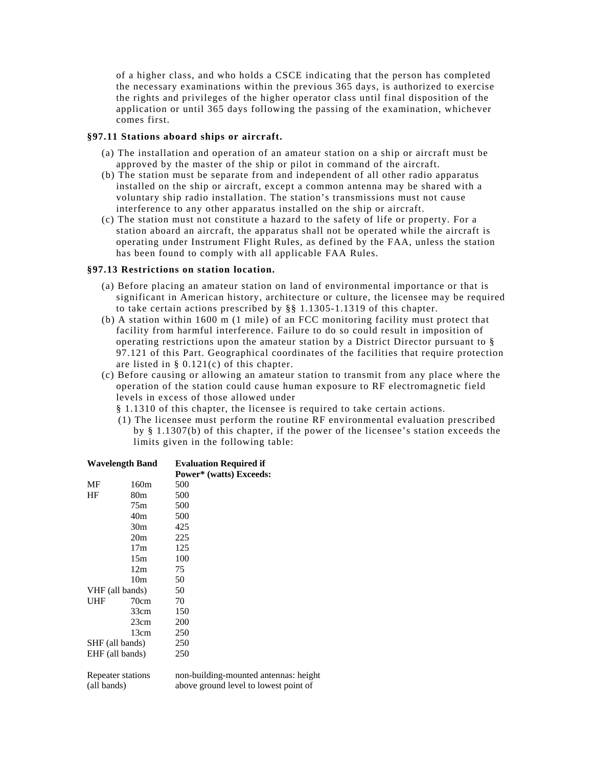of a higher class, and who holds a CSCE indicating that the person has completed the necessary examinations within the previous 365 days, is authorized to exercise the rights and privileges of the higher operator class until final disposition of the application or until 365 days following the passing of the examination, whichever comes first.

# **§97.11 Stations aboard ships or aircraft.**

- (a) The installation and operation of an amateur station on a ship or aircraft must be approved by the master of the ship or pilot in command of the aircraft.
- (b) The station must be separate from and independent of all other radio apparatus installed on the ship or aircraft, except a common antenna may be shared with a voluntary ship radio installation. The station's transmissions must not cause interference to any other apparatus installed on the ship or aircraft.
- (c) The station must not constitute a hazard to the safety of life or property. For a station aboard an aircraft, the apparatus shall not be operated while the aircraft is operating under Instrument Flight Rules, as defined by the FAA, unless the station has been found to comply with all applicable FAA Rules.

# **§97.13 Restrictions on station location.**

- (a) Before placing an amateur station on land of environmental importance or that is significant in American history, architecture or culture, the licensee may be required to take certain actions prescribed by §§ 1.1305-1.1319 of this chapter.
- (b) A station within 1600 m (1 mile) of an FCC monitoring facility must protect that facility from harmful interference. Failure to do so could result in imposition of operating restrictions upon the amateur station by a District Director pursuant to § 97.121 of this Part. Geographical coordinates of the facilities that require protection are listed in  $\S$  0.121(c) of this chapter.
- (c) Before causing or allowing an amateur station to transmit from any place where the operation of the station could cause human exposure to RF electromagnetic field levels in excess of those allowed under
	- § 1.1310 of this chapter, the licensee is required to take certain actions.
	- (1) The licensee must perform the routine RF environmental evaluation prescribed by § 1.1307(b) of this chapter, if the power of the licensee's station exceeds the limits given in the following table:

| <b>Power*</b> (watts) Exceeds:<br>500<br>МF<br>160 <sub>m</sub><br>HF<br>500<br>80m<br>500<br>75m<br>500<br>40 <sub>m</sub><br>30 <sub>m</sub><br>425 |
|-------------------------------------------------------------------------------------------------------------------------------------------------------|
|                                                                                                                                                       |
|                                                                                                                                                       |
|                                                                                                                                                       |
|                                                                                                                                                       |
|                                                                                                                                                       |
|                                                                                                                                                       |
| 20 <sub>m</sub><br>225                                                                                                                                |
| 17 <sub>m</sub><br>125                                                                                                                                |
| 100<br>15m                                                                                                                                            |
| 12m<br>75                                                                                                                                             |
| 10 <sub>m</sub><br>50                                                                                                                                 |
| 50<br>VHF (all bands)                                                                                                                                 |
| 70cm<br>70<br>UHF                                                                                                                                     |
| 150<br>33cm                                                                                                                                           |
| 23cm<br>200                                                                                                                                           |
| 13cm<br>250                                                                                                                                           |
| SHF (all bands)<br>250                                                                                                                                |
| EHF (all bands)<br>250                                                                                                                                |
|                                                                                                                                                       |
| non-building-mounted antennas: height<br>Repeater stations                                                                                            |
| (all bands)<br>above ground level to lowest point of                                                                                                  |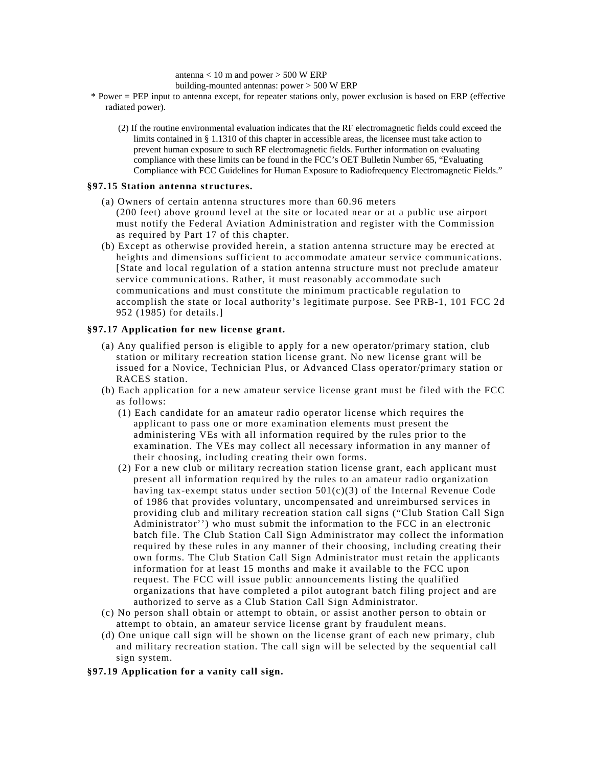antenna < 10 m and power > 500 W ERP

building-mounted antennas: power > 500 W ERP

- \* Power = PEP input to antenna except, for repeater stations only, power exclusion is based on ERP (effective radiated power).
	- (2) If the routine environmental evaluation indicates that the RF electromagnetic fields could exceed the limits contained in § 1.1310 of this chapter in accessible areas, the licensee must take action to prevent human exposure to such RF electromagnetic fields. Further information on evaluating compliance with these limits can be found in the FCC's OET Bulletin Number 65, "Evaluating Compliance with FCC Guidelines for Human Exposure to Radiofrequency Electromagnetic Fields."

#### **§97.15 Station antenna structures.**

- (a) Owners of certain antenna structures more than 60.96 meters (200 feet) above ground level at the site or located near or at a public use airport
- must notify the Federal Aviation Administration and register with the Commission as required by Part 17 of this chapter.
- (b) Except as otherwise provided herein, a station antenna structure may be erected at heights and dimensions sufficient to accommodate amateur service communications. [State and local regulation of a station antenna structure must not preclude amateur service communications. Rather, it must reasonably accommodate such communications and must constitute the minimum practicable regulation to accomplish the state or local authority's legitimate purpose. See PRB-1, 101 FCC 2d 952 (1985) for details.]

# **§97.17 Application for new license grant.**

- (a) Any qualified person is eligible to apply for a new operator/primary station, club station or military recreation station license grant. No new license grant will be issued for a Novice, Technician Plus, or Advanced Class operator/primary station or RACES station.
- (b) Each application for a new amateur service license grant must be filed with the FCC as follows:
	- (1) Each candidate for an amateur radio operator license which requires the applicant to pass one or more examination elements must present the administering VEs with all information required by the rules prior to the examination. The VEs may collect all necessary information in any manner of their choosing, including creating their own forms.
	- (2) For a new club or military recreation station license grant, each applicant must present all information required by the rules to an amateur radio organization having tax-exempt status under section  $501(c)(3)$  of the Internal Revenue Code of 1986 that provides voluntary, uncompensated and unreimbursed services in providing club and military recreation station call signs ("Club Station Call Sign Administrator'') who must submit the information to the FCC in an electronic batch file. The Club Station Call Sign Administrator may collect the information required by these rules in any manner of their choosing, including creating their own forms. The Club Station Call Sign Administrator must retain the applicants information for at least 15 months and make it available to the FCC upon request. The FCC will issue public announcements listing the qualified organizations that have completed a pilot autogrant batch filing project and are authorized to serve as a Club Station Call Sign Administrator.
- (c) No person shall obtain or attempt to obtain, or assist another person to obtain or attempt to obtain, an amateur service license grant by fraudulent means.
- (d) One unique call sign will be shown on the license grant of each new primary, club and military recreation station. The call sign will be selected by the sequential call sign system.
- **§97.19 Application for a vanity call sign.**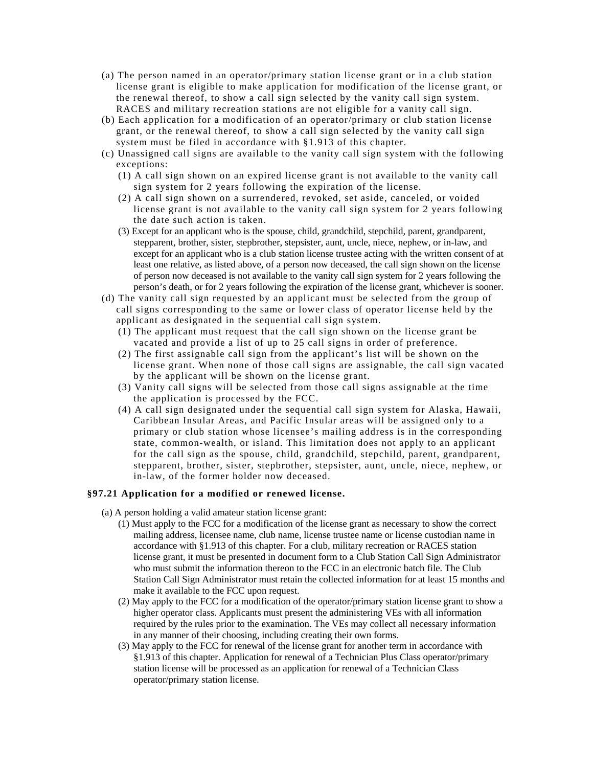- (a) The person named in an operator/primary station license grant or in a club station license grant is eligible to make application for modification of the license grant, or the renewal thereof, to show a call sign selected by the vanity call sign system. RACES and military recreation stations are not eligible for a vanity call sign.
- (b) Each application for a modification of an operator/primary or club station license grant, or the renewal thereof, to show a call sign selected by the vanity call sign system must be filed in accordance with §1.913 of this chapter.
- (c) Unassigned call signs are available to the vanity call sign system with the following exceptions:
	- (1) A call sign shown on an expired license grant is not available to the vanity call sign system for 2 years following the expiration of the license.
	- (2) A call sign shown on a surrendered, revoked, set aside, canceled, or voided license grant is not available to the vanity call sign system for 2 years following the date such action is taken.
	- (3) Except for an applicant who is the spouse, child, grandchild, stepchild, parent, grandparent, stepparent, brother, sister, stepbrother, stepsister, aunt, uncle, niece, nephew, or in-law, and except for an applicant who is a club station license trustee acting with the written consent of at least one relative, as listed above, of a person now deceased, the call sign shown on the license of person now deceased is not available to the vanity call sign system for 2 years following the person's death, or for 2 years following the expiration of the license grant, whichever is sooner.
- (d) The vanity call sign requested by an applicant must be selected from the group of call signs corresponding to the same or lower class of operator license held by the applicant as designated in the sequential call sign system.
	- (1) The applicant must request that the call sign shown on the license grant be vacated and provide a list of up to 25 call signs in order of preference.
	- (2) The first assignable call sign from the applicant's list will be shown on the license grant. When none of those call signs are assignable, the call sign vacated by the applicant will be shown on the license grant.
	- (3) Vanity call signs will be selected from those call signs assignable at the time the application is processed by the FCC.
	- (4) A call sign designated under the sequential call sign system for Alaska, Hawaii, Caribbean Insular Areas, and Pacific Insular areas will be assigned only to a primary or club station whose licensee's mailing address is in the corresponding state, common-wealth, or island. This limitation does not apply to an applicant for the call sign as the spouse, child, grandchild, stepchild, parent, grandparent, stepparent, brother, sister, stepbrother, stepsister, aunt, uncle, niece, nephew, or in-law, of the former holder now deceased.

#### **§97.21 Application for a modified or renewed license.**

- (a) A person holding a valid amateur station license grant:
	- (1) Must apply to the FCC for a modification of the license grant as necessary to show the correct mailing address, licensee name, club name, license trustee name or license custodian name in accordance with §1.913 of this chapter. For a club, military recreation or RACES station license grant, it must be presented in document form to a Club Station Call Sign Administrator who must submit the information thereon to the FCC in an electronic batch file. The Club Station Call Sign Administrator must retain the collected information for at least 15 months and make it available to the FCC upon request.
	- (2) May apply to the FCC for a modification of the operator/primary station license grant to show a higher operator class. Applicants must present the administering VEs with all information required by the rules prior to the examination. The VEs may collect all necessary information in any manner of their choosing, including creating their own forms.
	- (3) May apply to the FCC for renewal of the license grant for another term in accordance with §1.913 of this chapter. Application for renewal of a Technician Plus Class operator/primary station license will be processed as an application for renewal of a Technician Class operator/primary station license.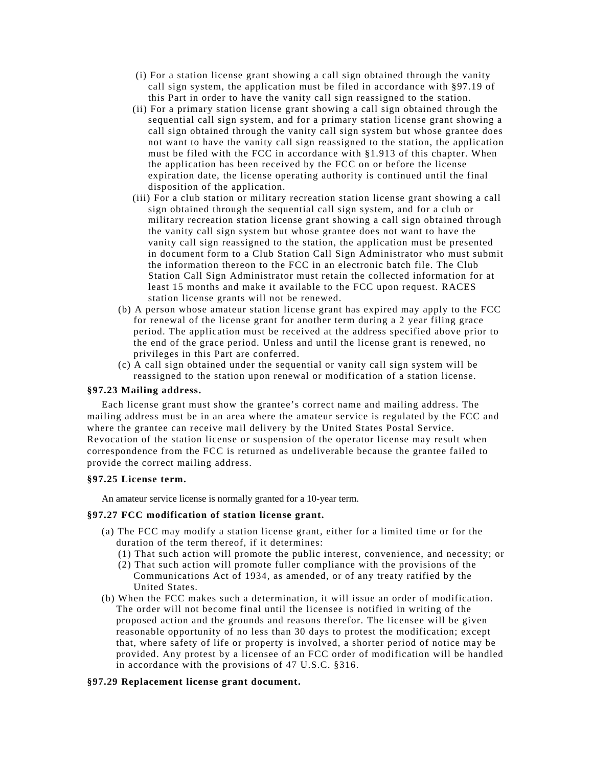- (i) For a station license grant showing a call sign obtained through the vanity call sign system, the application must be filed in accordance with §97.19 of this Part in order to have the vanity call sign reassigned to the station.
- (ii) For a primary station license grant showing a call sign obtained through the sequential call sign system, and for a primary station license grant showing a call sign obtained through the vanity call sign system but whose grantee does not want to have the vanity call sign reassigned to the station, the application must be filed with the FCC in accordance with §1.913 of this chapter. When the application has been received by the FCC on or before the license expiration date, the license operating authority is continued until the final disposition of the application.
- (iii) For a club station or military recreation station license grant showing a call sign obtained through the sequential call sign system, and for a club or military recreation station license grant showing a call sign obtained through the vanity call sign system but whose grantee does not want to have the vanity call sign reassigned to the station, the application must be presented in document form to a Club Station Call Sign Administrator who must submit the information thereon to the FCC in an electronic batch file. The Club Station Call Sign Administrator must retain the collected information for at least 15 months and make it available to the FCC upon request. RACES station license grants will not be renewed.
- (b) A person whose amateur station license grant has expired may apply to the FCC for renewal of the license grant for another term during a 2 year filing grace period. The application must be received at the address specified above prior to the end of the grace period. Unless and until the license grant is renewed, no privileges in this Part are conferred.
- (c) A call sign obtained under the sequential or vanity call sign system will be reassigned to the station upon renewal or modification of a station license.

#### **§97.23 Mailing address.**

Each license grant must show the grantee's correct name and mailing address. The mailing address must be in an area where the amateur service is regulated by the FCC and where the grantee can receive mail delivery by the United States Postal Service. Revocation of the station license or suspension of the operator license may result when correspondence from the FCC is returned as undeliverable because the grantee failed to provide the correct mailing address.

# **§97.25 License term.**

An amateur service license is normally granted for a 10-year term.

#### **§97.27 FCC modification of station license grant.**

- (a) The FCC may modify a station license grant, either for a limited time or for the duration of the term thereof, if it determines:
	- (1) That such action will promote the public interest, convenience, and necessity; or
	- (2) That such action will promote fuller compliance with the provisions of the Communications Act of 1934, as amended, or of any treaty ratified by the United States.
- (b) When the FCC makes such a determination, it will issue an order of modification. The order will not become final until the licensee is notified in writing of the proposed action and the grounds and reasons therefor. The licensee will be given reasonable opportunity of no less than 30 days to protest the modification; except that, where safety of life or property is involved, a shorter period of notice may be provided. Any protest by a licensee of an FCC order of modification will be handled in accordance with the provisions of 47 U.S.C. §316.

#### **§97.29 Replacement license grant document.**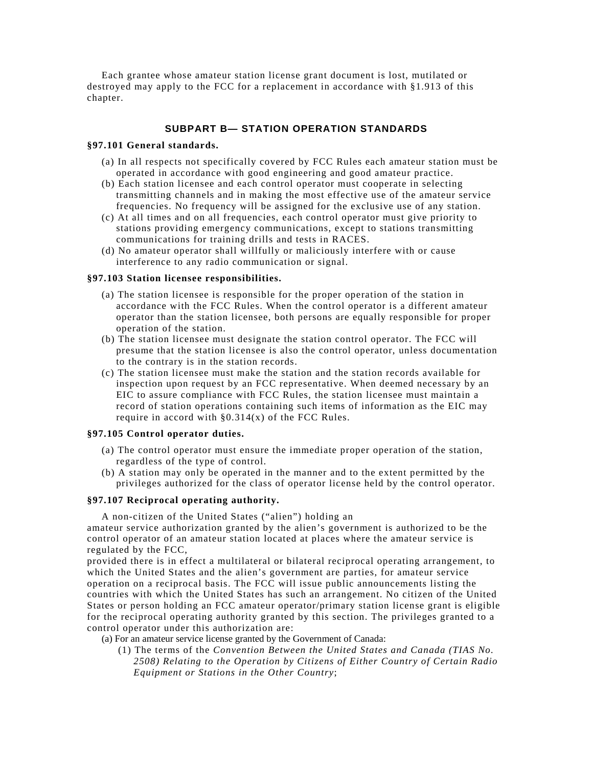Each grantee whose amateur station license grant document is lost, mutilated or destroyed may apply to the FCC for a replacement in accordance with §1.913 of this chapter.

# **SUBPART B— STATION OPERATION STANDARDS**

## **§97.101 General standards.**

- (a) In all respects not specifically covered by FCC Rules each amateur station must be operated in accordance with good engineering and good amateur practice.
- (b) Each station licensee and each control operator must cooperate in selecting transmitting channels and in making the most effective use of the amateur service frequencies. No frequency will be assigned for the exclusive use of any station.
- (c) At all times and on all frequencies, each control operator must give priority to stations providing emergency communications, except to stations transmitting communications for training drills and tests in RACES.
- (d) No amateur operator shall willfully or maliciously interfere with or cause interference to any radio communication or signal.

#### **§97.103 Station licensee responsibilities.**

- (a) The station licensee is responsible for the proper operation of the station in accordance with the FCC Rules. When the control operator is a different amateur operator than the station licensee, both persons are equally responsible for proper operation of the station.
- (b) The station licensee must designate the station control operator. The FCC will presume that the station licensee is also the control operator, unless documentation to the contrary is in the station records.
- (c) The station licensee must make the station and the station records available for inspection upon request by an FCC representative. When deemed necessary by an EIC to assure compliance with FCC Rules, the station licensee must maintain a record of station operations containing such items of information as the EIC may require in accord with  $\S 0.314(x)$  of the FCC Rules.

#### **§97.105 Control operator duties.**

- (a) The control operator must ensure the immediate proper operation of the station, regardless of the type of control.
- (b) A station may only be operated in the manner and to the extent permitted by the privileges authorized for the class of operator license held by the control operator.

#### **§97.107 Reciprocal operating authority.**

A non-citizen of the United States ("alien") holding an

amateur service authorization granted by the alien's government is authorized to be the control operator of an amateur station located at places where the amateur service is regulated by the FCC,

provided there is in effect a multilateral or bilateral reciprocal operating arrangement, to which the United States and the alien's government are parties, for amateur service operation on a reciprocal basis. The FCC will issue public announcements listing the countries with which the United States has such an arrangement. No citizen of the United States or person holding an FCC amateur operator/primary station license grant is eligible for the reciprocal operating authority granted by this section. The privileges granted to a control operator under this authorization are:

(a) For an amateur service license granted by the Government of Canada:

(1) The terms of the *Convention Between the United States and Canada (TIAS No. 2508) Relating to the Operation by Citizens of Either Country of Certain Radio Equipment or Stations in the Other Country*;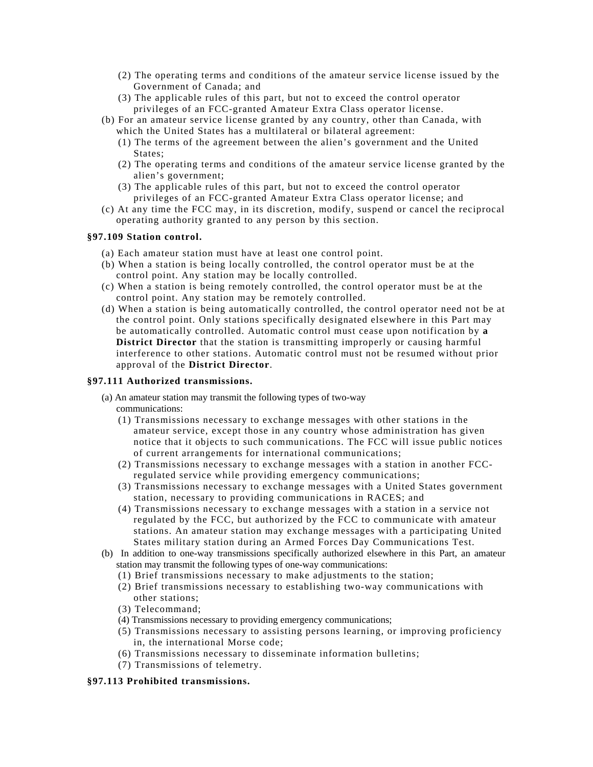- (2) The operating terms and conditions of the amateur service license issued by the Government of Canada; and
- (3) The applicable rules of this part, but not to exceed the control operator privileges of an FCC-granted Amateur Extra Class operator license.
- (b) For an amateur service license granted by any country, other than Canada, with which the United States has a multilateral or bilateral agreement:
	- (1) The terms of the agreement between the alien's government and the United States;
	- (2) The operating terms and conditions of the amateur service license granted by the alien's government;
	- (3) The applicable rules of this part, but not to exceed the control operator privileges of an FCC-granted Amateur Extra Class operator license; and
- (c) At any time the FCC may, in its discretion, modify, suspend or cancel the reciprocal operating authority granted to any person by this section.

#### **§97.109 Station control.**

- (a) Each amateur station must have at least one control point.
- (b) When a station is being locally controlled, the control operator must be at the control point. Any station may be locally controlled.
- (c) When a station is being remotely controlled, the control operator must be at the control point. Any station may be remotely controlled.
- (d) When a station is being automatically controlled, the control operator need not be at the control point. Only stations specifically designated elsewhere in this Part may be automatically controlled. Automatic control must cease upon notification by **a District Director** that the station is transmitting improperly or causing harmful interference to other stations. Automatic control must not be resumed without prior approval of the **District Director**.

# **§97.111 Authorized transmissions.**

- (a) An amateur station may transmit the following types of two-way communications:
	- (1) Transmissions necessary to exchange messages with other stations in the amateur service, except those in any country whose administration has given notice that it objects to such communications. The FCC will issue public notices of current arrangements for international communications;
	- (2) Transmissions necessary to exchange messages with a station in another FCCregulated service while providing emergency communications;
	- (3) Transmissions necessary to exchange messages with a United States government station, necessary to providing communications in RACES; and
	- (4) Transmissions necessary to exchange messages with a station in a service not regulated by the FCC, but authorized by the FCC to communicate with amateur stations. An amateur station may exchange messages with a participating United States military station during an Armed Forces Day Communications Test.
- (b) In addition to one-way transmissions specifically authorized elsewhere in this Part, an amateur station may transmit the following types of one-way communications:
	- (1) Brief transmissions necessary to make adjustments to the station;
	- (2) Brief transmissions necessary to establishing two-way communications with other stations;
	- (3) Telecommand;
	- (4) Transmissions necessary to providing emergency communications;
	- (5) Transmissions necessary to assisting persons learning, or improving proficiency in, the international Morse code;
	- (6) Transmissions necessary to disseminate information bulletins;
	- (7) Transmissions of telemetry.

# **§97.113 Prohibited transmissions.**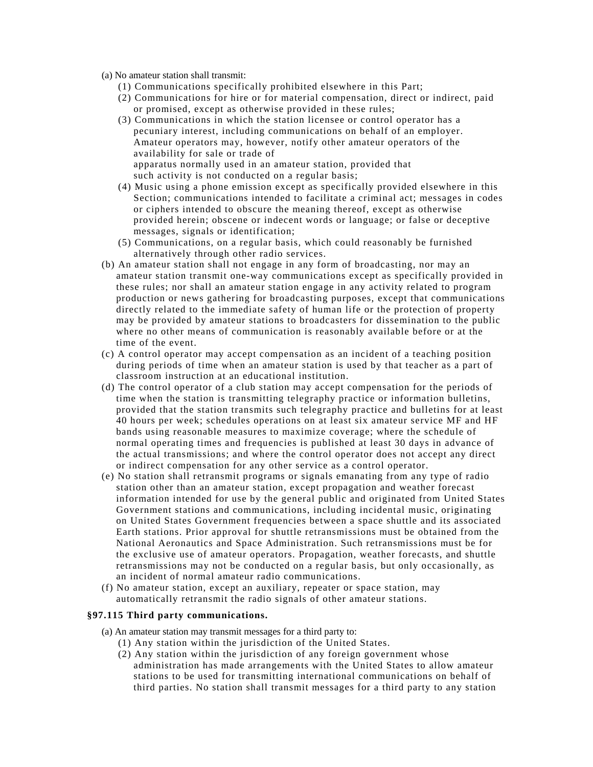- (a) No amateur station shall transmit:
	- (1) Communications specifically prohibited elsewhere in this Part;
	- (2) Communications for hire or for material compensation, direct or indirect, paid or promised, except as otherwise provided in these rules;
	- (3) Communications in which the station licensee or control operator has a pecuniary interest, including communications on behalf of an employer. Amateur operators may, however, notify other amateur operators of the availability for sale or trade of apparatus normally used in an amateur station, provided that such activity is not conducted on a regular basis;
	- (4) Music using a phone emission except as specifically provided elsewhere in this Section; communications intended to facilitate a criminal act; messages in codes or ciphers intended to obscure the meaning thereof, except as otherwise provided herein; obscene or indecent words or language; or false or deceptive messages, signals or identification;
	- (5) Communications, on a regular basis, which could reasonably be furnished alternatively through other radio services.
- (b) An amateur station shall not engage in any form of broadcasting, nor may an amateur station transmit one-way communications except as specifically provided in these rules; nor shall an amateur station engage in any activity related to program production or news gathering for broadcasting purposes, except that communications directly related to the immediate safety of human life or the protection of property may be provided by amateur stations to broadcasters for dissemination to the public where no other means of communication is reasonably available before or at the time of the event.
- (c) A control operator may accept compensation as an incident of a teaching position during periods of time when an amateur station is used by that teacher as a part of classroom instruction at an educational institution.
- (d) The control operator of a club station may accept compensation for the periods of time when the station is transmitting telegraphy practice or information bulletins, provided that the station transmits such telegraphy practice and bulletins for at least 40 hours per week; schedules operations on at least six amateur service MF and HF bands using reasonable measures to maximize coverage; where the schedule of normal operating times and frequencies is published at least 30 days in advance of the actual transmissions; and where the control operator does not accept any direct or indirect compensation for any other service as a control operator.
- (e) No station shall retransmit programs or signals emanating from any type of radio station other than an amateur station, except propagation and weather forecast information intended for use by the general public and originated from United States Government stations and communications, including incidental music, originating on United States Government frequencies between a space shuttle and its associated Earth stations. Prior approval for shuttle retransmissions must be obtained from the National Aeronautics and Space Administration. Such retransmissions must be for the exclusive use of amateur operators. Propagation, weather forecasts, and shuttle retransmissions may not be conducted on a regular basis, but only occasionally, as an incident of normal amateur radio communications.
- (f) No amateur station, except an auxiliary, repeater or space station, may automatically retransmit the radio signals of other amateur stations.

#### **§97.115 Third party communications.**

- (a) An amateur station may transmit messages for a third party to:
	- (1) Any station within the jurisdiction of the United States.
	- (2) Any station within the jurisdiction of any foreign government whose administration has made arrangements with the United States to allow amateur stations to be used for transmitting international communications on behalf of third parties. No station shall transmit messages for a third party to any station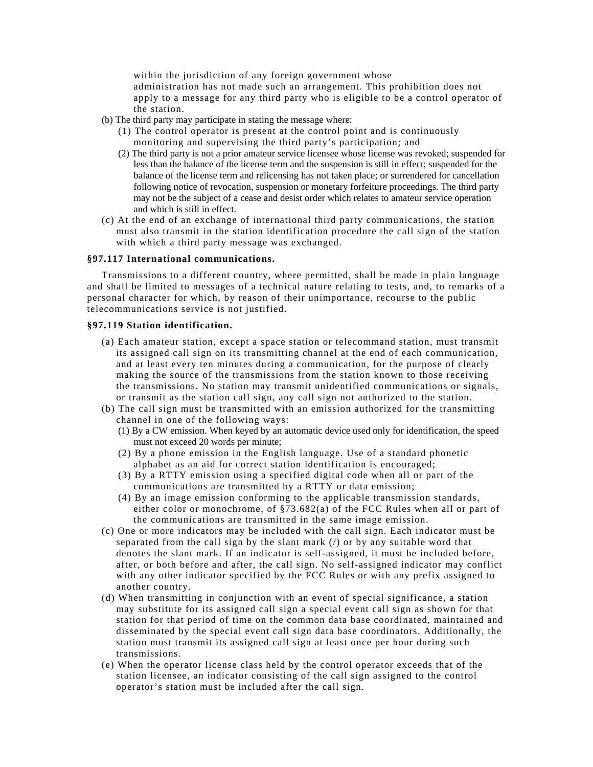within the jurisdiction of any foreign government whose administration has not made such an arrangement. This prohibition does not apply to a message for any third party who is eligible to be a control operator of the station.

- (b) The third party may participate in stating the message where:
	- (1) The control operator is present at the control point and is continuously monitoring and supervising the third party's participation; and
	- (2) The third party is not a prior amateur service licensee whose license was revoked; suspended for less than the balance of the license term and the suspension is still in effect; suspended for the balance of the license term and relicensing has not taken place; or surrendered for cancellation following notice of revocation, suspension or monetary forfeiture proceedings. The third party may not be the subject of a cease and desist order which relates to amateur service operation and which is still in effect.
- (c) At the end of an exchange of international third party communications, the station must also transmit in the station identification procedure the call sign of the station with which a third party message was exchanged.

#### **§97.117 International communications.**

Transmissions to a different country, where permitted, shall be made in plain language and shall be limited to messages of a technical nature relating to tests, and, to remarks of a personal character for which, by reason of their unimportance, recourse to the public telecommunications service is not justified.

# **§97.119 Station identification.**

- (a) Each amateur station, except a space station or telecommand station, must transmit its assigned call sign on its transmitting channel at the end of each communication, and at least every ten minutes during a communication, for the purpose of clearly making the source of the transmissions from the station known to those receiving the transmissions. No station may transmit unidentified communications or signals, or transmit as the station call sign, any call sign not authorized to the station.
- (b) The call sign must be transmitted with an emission authorized for the transmitting channel in one of the following ways:
	- (1) By a CW emission. When keyed by an automatic device used only for identification, the speed must not exceed 20 words per minute;
	- (2) By a phone emission in the English language. Use of a standard phonetic alphabet as an aid for correct station identification is encouraged;
	- (3) By a RTTY emission using a specified digital code when all or part of the communications are transmitted by a RTTY or data emission;
	- (4) By an image emission conforming to the applicable transmission standards, either color or monochrome, of §73.682(a) of the FCC Rules when all or part of the communications are transmitted in the same image emission.
- (c) One or more indicators may be included with the call sign. Each indicator must be separated from the call sign by the slant mark (/) or by any suitable word that denotes the slant mark. If an indicator is self-assigned, it must be included before, after, or both before and after, the call sign. No self-assigned indicator may conflict with any other indicator specified by the FCC Rules or with any prefix assigned to another country.
- (d) When transmitting in conjunction with an event of special significance, a station may substitute for its assigned call sign a special event call sign as shown for that station for that period of time on the common data base coordinated, maintained and disseminated by the special event call sign data base coordinators. Additionally, the station must transmit its assigned call sign at least once per hour during such transmissions.
- (e) When the operator license class held by the control operator exceeds that of the station licensee, an indicator consisting of the call sign assigned to the control operator's station must be included after the call sign.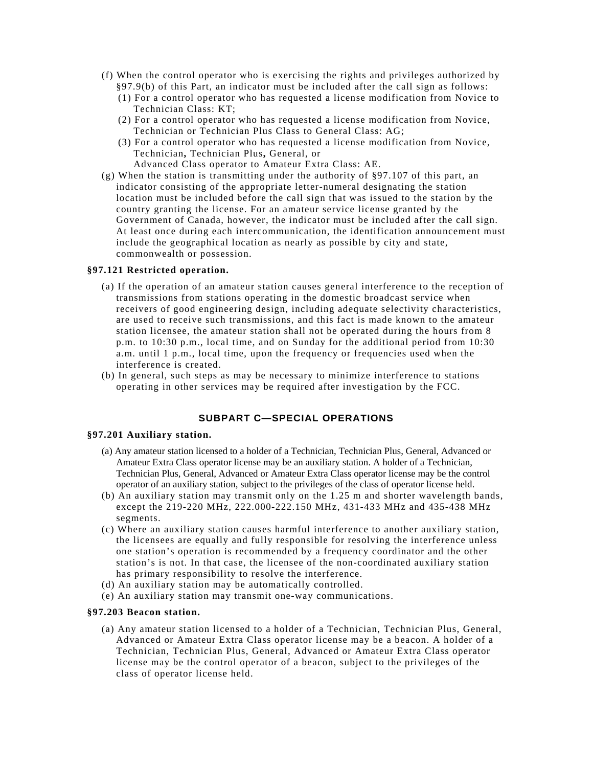- (f) When the control operator who is exercising the rights and privileges authorized by §97.9(b) of this Part, an indicator must be included after the call sign as follows:
	- (1) For a control operator who has requested a license modification from Novice to Technician Class: KT;
	- (2) For a control operator who has requested a license modification from Novice, Technician or Technician Plus Class to General Class: AG;
	- (3) For a control operator who has requested a license modification from Novice, Technician**,** Technician Plus**,** General, or
		- Advanced Class operator to Amateur Extra Class: AE.
- (g) When the station is transmitting under the authority of §97.107 of this part, an indicator consisting of the appropriate letter-numeral designating the station location must be included before the call sign that was issued to the station by the country granting the license. For an amateur service license granted by the Government of Canada, however, the indicator must be included after the call sign. At least once during each intercommunication, the identification announcement must include the geographical location as nearly as possible by city and state, commonwealth or possession.

#### **§97.121 Restricted operation.**

- (a) If the operation of an amateur station causes general interference to the reception of transmissions from stations operating in the domestic broadcast service when receivers of good engineering design, including adequate selectivity characteristics, are used to receive such transmissions, and this fact is made known to the amateur station licensee, the amateur station shall not be operated during the hours from 8 p.m. to 10:30 p.m., local time, and on Sunday for the additional period from 10:30 a.m. until 1 p.m., local time, upon the frequency or frequencies used when the interference is created.
- (b) In general, such steps as may be necessary to minimize interference to stations operating in other services may be required after investigation by the FCC.

# **SUBPART C—SPECIAL OPERATIONS**

#### **§97.201 Auxiliary station.**

- (a) Any amateur station licensed to a holder of a Technician, Technician Plus, General, Advanced or Amateur Extra Class operator license may be an auxiliary station. A holder of a Technician, Technician Plus, General, Advanced or Amateur Extra Class operator license may be the control operator of an auxiliary station, subject to the privileges of the class of operator license held.
- (b) An auxiliary station may transmit only on the 1.25 m and shorter wavelength bands, except the 219-220 MHz, 222.000-222.150 MHz, 431-433 MHz and 435-438 MHz segments.
- (c) Where an auxiliary station causes harmful interference to another auxiliary station, the licensees are equally and fully responsible for resolving the interference unless one station's operation is recommended by a frequency coordinator and the other station's is not. In that case, the licensee of the non-coordinated auxiliary station has primary responsibility to resolve the interference.
- (d) An auxiliary station may be automatically controlled.
- (e) An auxiliary station may transmit one-way communications.

#### **§97.203 Beacon station.**

(a) Any amateur station licensed to a holder of a Technician, Technician Plus, General, Advanced or Amateur Extra Class operator license may be a beacon. A holder of a Technician, Technician Plus, General, Advanced or Amateur Extra Class operator license may be the control operator of a beacon, subject to the privileges of the class of operator license held.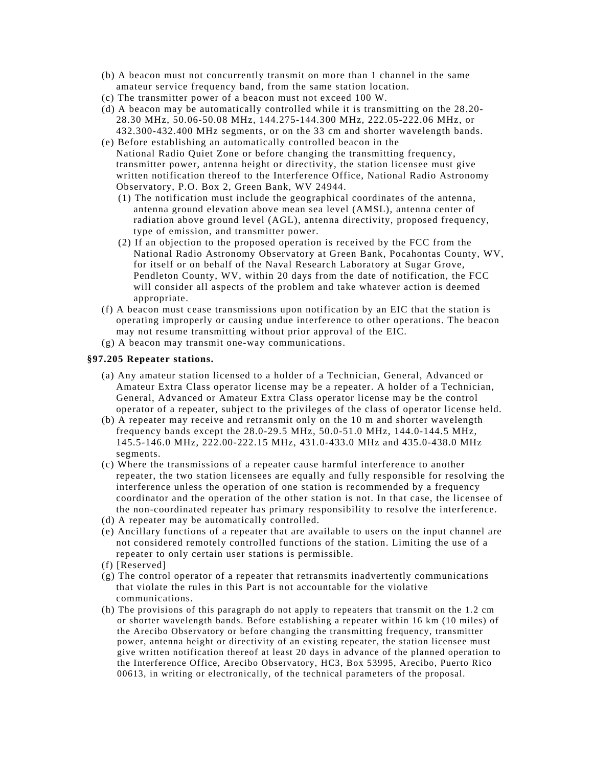- (b) A beacon must not concurrently transmit on more than 1 channel in the same amateur service frequency band, from the same station location.
- (c) The transmitter power of a beacon must not exceed 100 W.
- (d) A beacon may be automatically controlled while it is transmitting on the 28.20- 28.30 MHz, 50.06-50.08 MHz, 144.275-144.300 MHz, 222.05-222.06 MHz, or 432.300-432.400 MHz segments, or on the 33 cm and shorter wavelength bands.
- (e) Before establishing an automatically controlled beacon in the National Radio Quiet Zone or before changing the transmitting frequency, transmitter power, antenna height or directivity, the station licensee must give written notification thereof to the Interference Office, National Radio Astronomy Observatory, P.O. Box 2, Green Bank, WV 24944.
	- (1) The notification must include the geographical coordinates of the antenna, antenna ground elevation above mean sea level (AMSL), antenna center of radiation above ground level (AGL), antenna directivity, proposed frequency, type of emission, and transmitter power.
	- (2) If an objection to the proposed operation is received by the FCC from the National Radio Astronomy Observatory at Green Bank, Pocahontas County, WV, for itself or on behalf of the Naval Research Laboratory at Sugar Grove, Pendleton County, WV, within 20 days from the date of notification, the FCC will consider all aspects of the problem and take whatever action is deemed appropriate.
- (f) A beacon must cease transmissions upon notification by an EIC that the station is operating improperly or causing undue interference to other operations. The beacon may not resume transmitting without prior approval of the EIC.
- (g) A beacon may transmit one-way communications.

### **§97.205 Repeater stations.**

- (a) Any amateur station licensed to a holder of a Technician, General, Advanced or Amateur Extra Class operator license may be a repeater. A holder of a Technician, General, Advanced or Amateur Extra Class operator license may be the control operator of a repeater, subject to the privileges of the class of operator license held.
- (b) A repeater may receive and retransmit only on the 10 m and shorter wavelength frequency bands except the 28.0-29.5 MHz, 50.0-51.0 MHz, 144.0-144.5 MHz, 145.5-146.0 MHz, 222.00-222.15 MHz, 431.0-433.0 MHz and 435.0-438.0 MHz segments.
- (c) Where the transmissions of a repeater cause harmful interference to another repeater, the two station licensees are equally and fully responsible for resolving the interference unless the operation of one station is recommended by a frequency coordinator and the operation of the other station is not. In that case, the licensee of the non-coordinated repeater has primary responsibility to resolve the interference.
- (d) A repeater may be automatically controlled.
- (e) Ancillary functions of a repeater that are available to users on the input channel are not considered remotely controlled functions of the station. Limiting the use of a repeater to only certain user stations is permissible.
- (f) [Reserved]
- (g) The control operator of a repeater that retransmits inadvertently communications that violate the rules in this Part is not accountable for the violative communications.
- (h) The provisions of this paragraph do not apply to repeaters that transmit on the 1.2 cm or shorter wavelength bands. Before establishing a repeater within 16 km (10 miles) of the Arecibo Observatory or before changing the transmitting frequency, transmitter power, antenna height or directivity of an existing repeater, the station licensee must give written notification thereof at least 20 days in advance of the planned operation to the Interference Office, Arecibo Observatory, HC3, Box 53995, Arecibo, Puerto Rico 00613, in writing or electronically, of the technical parameters of the proposal.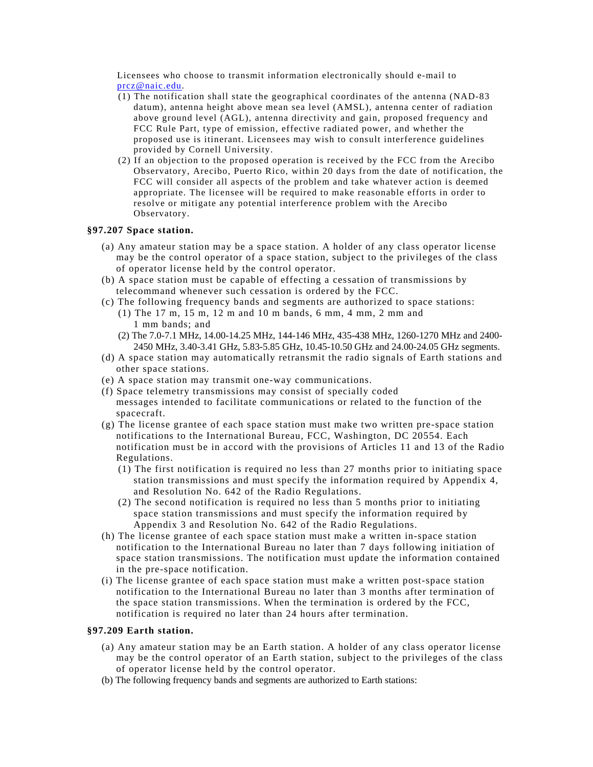Licensees who choose to transmit information electronically should e-mail to prcz@naic.edu.

- (1) The notification shall state the geographical coordinates of the antenna (NAD-83 datum), antenna height above mean sea level (AMSL), antenna center of radiation above ground level (AGL), antenna directivity and gain, proposed frequency and FCC Rule Part, type of emission, effective radiated power, and whether the proposed use is itinerant. Licensees may wish to consult interference guidelines provided by Cornell University.
- (2) If an objection to the proposed operation is received by the FCC from the Arecibo Observatory, Arecibo, Puerto Rico, within 20 days from the date of notification, the FCC will consider all aspects of the problem and take whatever action is deemed appropriate. The licensee will be required to make reasonable efforts in order to resolve or mitigate any potential interference problem with the Arecibo Observatory.

#### **§97.207 Space station.**

- (a) Any amateur station may be a space station. A holder of any class operator license may be the control operator of a space station, subject to the privileges of the class of operator license held by the control operator.
- (b) A space station must be capable of effecting a cessation of transmissions by telecommand whenever such cessation is ordered by the FCC.
- (c) The following frequency bands and segments are authorized to space stations: (1) The 17 m, 15 m, 12 m and 10 m bands, 6 mm, 4 mm, 2 mm and 1 mm bands; and
	- (2) The 7.0-7.1 MHz, 14.00-14.25 MHz, 144-146 MHz, 435-438 MHz, 1260-1270 MHz and 2400- 2450 MHz, 3.40-3.41 GHz, 5.83-5.85 GHz, 10.45-10.50 GHz and 24.00-24.05 GHz segments.
- (d) A space station may automatically retransmit the radio signals of Earth stations and other space stations.
- (e) A space station may transmit one-way communications.
- (f) Space telemetry transmissions may consist of specially coded messages intended to facilitate communications or related to the function of the spacecraft.
- (g) The license grantee of each space station must make two written pre-space station notifications to the International Bureau, FCC, Washington, DC 20554. Each notification must be in accord with the provisions of Articles 11 and 13 of the Radio Regulations.
	- (1) The first notification is required no less than 27 months prior to initiating space station transmissions and must specify the information required by Appendix 4, and Resolution No. 642 of the Radio Regulations.
	- (2) The second notification is required no less than 5 months prior to initiating space station transmissions and must specify the information required by Appendix 3 and Resolution No. 642 of the Radio Regulations.
- (h) The license grantee of each space station must make a written in-space station notification to the International Bureau no later than 7 days following initiation of space station transmissions. The notification must update the information contained in the pre-space notification.
- (i) The license grantee of each space station must make a written post-space station notification to the International Bureau no later than 3 months after termination of the space station transmissions. When the termination is ordered by the FCC, notification is required no later than 24 hours after termination.

# **§97.209 Earth station.**

- (a) Any amateur station may be an Earth station. A holder of any class operator license may be the control operator of an Earth station, subject to the privileges of the class of operator license held by the control operator.
- (b) The following frequency bands and segments are authorized to Earth stations: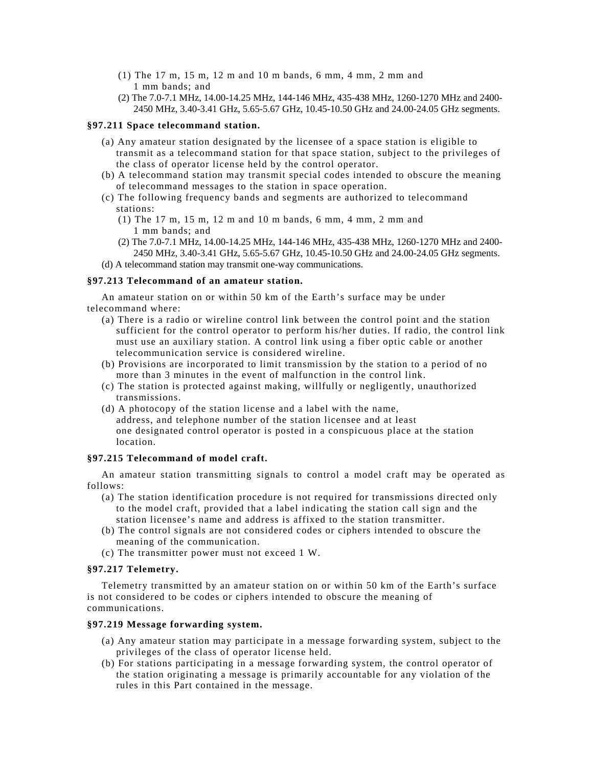- (1) The 17 m, 15 m, 12 m and 10 m bands, 6 mm, 4 mm, 2 mm and 1 mm bands; and
- (2) The 7.0-7.1 MHz, 14.00-14.25 MHz, 144-146 MHz, 435-438 MHz, 1260-1270 MHz and 2400- 2450 MHz, 3.40-3.41 GHz, 5.65-5.67 GHz, 10.45-10.50 GHz and 24.00-24.05 GHz segments.

#### **§97.211 Space telecommand station.**

- (a) Any amateur station designated by the licensee of a space station is eligible to transmit as a telecommand station for that space station, subject to the privileges of the class of operator license held by the control operator.
- (b) A telecommand station may transmit special codes intended to obscure the meaning of telecommand messages to the station in space operation.
- (c) The following frequency bands and segments are authorized to telecommand stations:
	- (1) The 17 m, 15 m, 12 m and 10 m bands, 6 mm, 4 mm, 2 mm and 1 mm bands; and
	- (2) The 7.0-7.1 MHz, 14.00-14.25 MHz, 144-146 MHz, 435-438 MHz, 1260-1270 MHz and 2400- 2450 MHz, 3.40-3.41 GHz, 5.65-5.67 GHz, 10.45-10.50 GHz and 24.00-24.05 GHz segments.
- (d) A telecommand station may transmit one-way communications.

#### **§97.213 Telecommand of an amateur station.**

An amateur station on or within 50 km of the Earth's surface may be under telecommand where:

- (a) There is a radio or wireline control link between the control point and the station sufficient for the control operator to perform his/her duties. If radio, the control link must use an auxiliary station. A control link using a fiber optic cable or another telecommunication service is considered wireline.
- (b) Provisions are incorporated to limit transmission by the station to a period of no more than 3 minutes in the event of malfunction in the control link.
- (c) The station is protected against making, willfully or negligently, unauthorized transmissions.
- (d) A photocopy of the station license and a label with the name, address, and telephone number of the station licensee and at least one designated control operator is posted in a conspicuous place at the station location.

#### **§97.215 Telecommand of model craft.**

An amateur station transmitting signals to control a model craft may be operated as follows:

- (a) The station identification procedure is not required for transmissions directed only to the model craft, provided that a label indicating the station call sign and the station licensee's name and address is affixed to the station transmitter.
- (b) The control signals are not considered codes or ciphers intended to obscure the meaning of the communication.
- (c) The transmitter power must not exceed 1 W.

### **§97.217 Telemetry.**

Telemetry transmitted by an amateur station on or within 50 km of the Earth's surface is not considered to be codes or ciphers intended to obscure the meaning of communications.

# **§97.219 Message forwarding system.**

- (a) Any amateur station may participate in a message forwarding system, subject to the privileges of the class of operator license held.
- (b) For stations participating in a message forwarding system, the control operator of the station originating a message is primarily accountable for any violation of the rules in this Part contained in the message.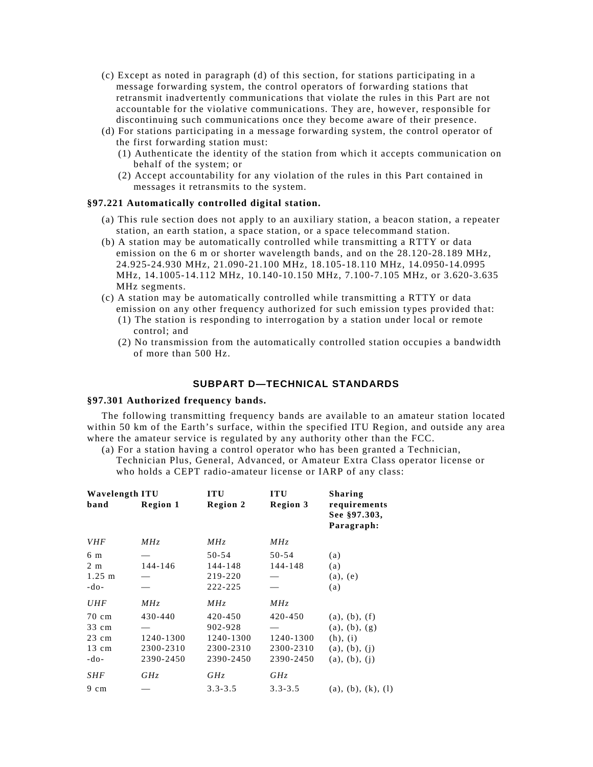- (c) Except as noted in paragraph (d) of this section, for stations participating in a message forwarding system, the control operators of forwarding stations that retransmit inadvertently communications that violate the rules in this Part are not accountable for the violative communications. They are, however, responsible for discontinuing such communications once they become aware of their presence.
- (d) For stations participating in a message forwarding system, the control operator of the first forwarding station must:
	- (1) Authenticate the identity of the station from which it accepts communication on behalf of the system; or
	- (2) Accept accountability for any violation of the rules in this Part contained in messages it retransmits to the system.

# **§97.221 Automatically controlled digital station.**

- (a) This rule section does not apply to an auxiliary station, a beacon station, a repeater station, an earth station, a space station, or a space telecommand station.
- (b) A station may be automatically controlled while transmitting a RTTY or data emission on the 6 m or shorter wavelength bands, and on the 28.120-28.189 MHz, 24.925-24.930 MHz, 21.090-21.100 MHz, 18.105-18.110 MHz, 14.0950-14.0995 MHz, 14.1005-14.112 MHz, 10.140-10.150 MHz, 7.100-7.105 MHz, or 3.620-3.635 MHz segments.
- (c) A station may be automatically controlled while transmitting a RTTY or data emission on any other frequency authorized for such emission types provided that:
	- (1) The station is responding to interrogation by a station under local or remote control; and
	- (2) No transmission from the automatically controlled station occupies a bandwidth of more than 500 Hz.

# **SUBPART D—TECHNICAL STANDARDS**

#### **§97.301 Authorized frequency bands.**

The following transmitting frequency bands are available to an amateur station located within 50 km of the Earth's surface, within the specified ITU Region, and outside any area where the amateur service is regulated by any authority other than the FCC.

- (a) For a station having a control operator who has been granted a Technician,
	- Technician Plus, General, Advanced, or Amateur Extra Class operator license or who holds a CEPT radio-amateur license or IARP of any class:

| Wavelength ITU       |                 | <b>ITU</b>      | <b>ITU</b>      | <b>Sharing</b>                             |
|----------------------|-----------------|-----------------|-----------------|--------------------------------------------|
| band                 | <b>Region 1</b> | <b>Region 2</b> | <b>Region 3</b> | requirements<br>See §97.303,<br>Paragraph: |
| <b>VHF</b>           | MHz             | MHz             | MHz             |                                            |
| 6 m                  |                 | $50 - 54$       | $50 - 54$       | (a)                                        |
| 2 <sub>m</sub>       | 144-146         | 144-148         | 144-148         | (a)                                        |
| $1.25 \; \mathrm{m}$ |                 | 219-220         |                 | (a), (e)                                   |
| $-do-$               |                 | 222-225         |                 | (a)                                        |
| <b>UHF</b>           | MHz             | MHz.            | MHz             |                                            |
| $70 \text{ cm}$      | 430-440         | 420-450         | 420-450         | (a), (b), (f)                              |
| $33 \text{ cm}$      |                 | 902-928         |                 | (a), (b), (g)                              |
| $23 \text{ cm}$      | 1240-1300       | 1240-1300       | 1240-1300       | (h), (i)                                   |
| $13 \text{ cm}$      | 2300-2310       | 2300-2310       | 2300-2310       | (a), (b), (j)                              |
| -do-                 | 2390-2450       | 2390-2450       | 2390-2450       | (a), (b), (j)                              |
| SHF                  | GHz             | GHz             | GHz             |                                            |
| $9 \text{ cm}$       |                 | $3.3 - 3.5$     | $3.3 - 3.5$     | (a), (b), (k), (l)                         |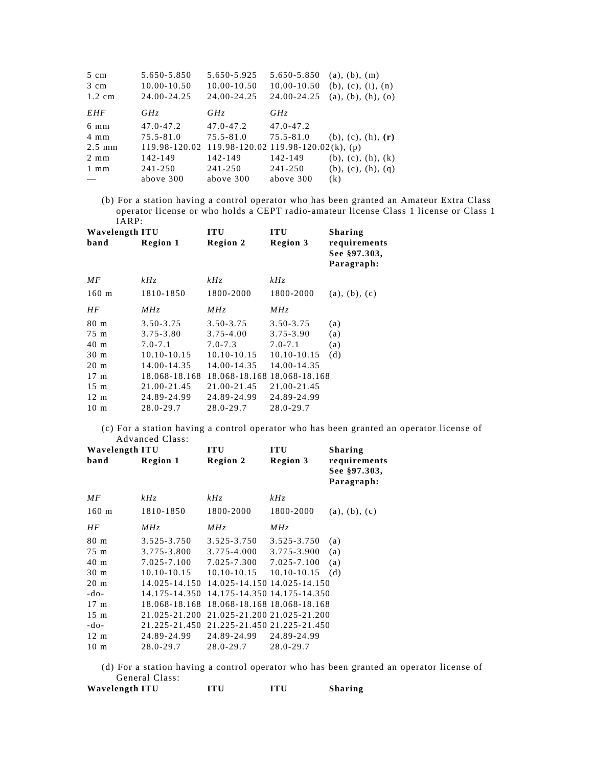| $5 \text{ cm}$   | 5.650-5.850     | 5.650-5.925                         | 5.650-5.850     | (a), (b), (m)      |
|------------------|-----------------|-------------------------------------|-----------------|--------------------|
| $3 \text{ cm}$   | $10.00 - 10.50$ | $10.00 - 10.50$                     | $10.00 - 10.50$ | (b), (c), (i), (n) |
| $1.2 \text{ cm}$ | 24.00-24.25     | 24.00-24.25                         | 24.00-24.25     | (a), (b), (h), (o) |
| <b>EHF</b>       | GHz             | GHz                                 | GHz             |                    |
| $6 \text{ mm}$   | 47.0-47.2       | 47.0-47.2                           | 47.0-47.2       |                    |
| $4 \text{ mm}$   | $75.5 - 81.0$   | $75.5 - 81.0$                       | 75.5-81.0       | (b), (c), (h), (r) |
| $2.5 \text{ mm}$ | 119.98-120.02   | 119.98-120.02 119.98-120.02(k), (p) |                 |                    |
| $2 \text{ mm}$   | 142-149         | 142-149                             | 142-149         | (b), (c), (h), (k) |
| $1 \text{ mm}$   | $241 - 250$     | 241-250                             | 241-250         | (b), (c), (h), (q) |
| $\frac{1}{2}$    | above 300       | above 300                           | above 300       | (k)                |

(b) For a station having a control operator who has been granted an Amateur Extra Class operator license or who holds a CEPT radio-amateur license Class 1 license or Class 1 IARP:

| Wavelength ITU<br>band | <b>Region 1</b> | <b>ITU</b><br><b>Region 2</b> | <b>ITU</b><br><b>Region 3</b> | <b>Sharing</b><br>requirements<br>See §97.303,<br>Paragraph: |
|------------------------|-----------------|-------------------------------|-------------------------------|--------------------------------------------------------------|
| МF                     | kHz             | kHz                           | kHz                           |                                                              |
| $160$ m                | 1810-1850       | 1800-2000                     | 1800-2000                     | (a), (b), (c)                                                |
| HF                     | MHz             | MHz                           | MHz                           |                                                              |
| 80 <sub>m</sub>        | $3.50 - 3.75$   | 3.50-3.75                     | $3.50 - 3.75$                 | (a)                                                          |
| 75 m                   | 3.75-3.80       | $3.75 - 4.00$                 | $3.75 - 3.90$                 | (a)                                                          |
| 40 m                   | $7.0 - 7.1$     | $7.0 - 7.3$                   | $7.0 - 7.1$                   | (a)                                                          |
| 30 <sub>m</sub>        | $10.10 - 10.15$ | $10.10 - 10.15$               | 10.10-10.15                   | (d)                                                          |
| $20 \text{ m}$         | 14.00-14.35     | 14.00-14.35                   | 14.00-14.35                   |                                                              |
| $17 \text{ m}$         | 18.068-18.168   | 18.068-18.168 18.068-18.168   |                               |                                                              |
| $15 \text{ m}$         | 21.00-21.45     | 21.00-21.45                   | 21.00-21.45                   |                                                              |
| $12 \text{ m}$         | 24.89-24.99     | 24.89-24.99                   | 24.89-24.99                   |                                                              |
| $10 \text{ m}$         | 28.0-29.7       | 28.0-29.7                     | 28.0-29.7                     |                                                              |

(c) For a station having a control operator who has been granted an operator license of Advanced Class:

| Wavelength ITU  |                 | <b>ITU</b>                      | <b>ITU</b>      | Sharing                                    |
|-----------------|-----------------|---------------------------------|-----------------|--------------------------------------------|
| band            | <b>Region 1</b> | <b>Region 2</b>                 | <b>Region 3</b> | requirements<br>See §97.303,<br>Paragraph: |
| МF              | kHz             | kHz                             | kHz             |                                            |
| $160 \text{ m}$ | 1810-1850       | 1800-2000                       | 1800-2000       | (a), (b), (c)                              |
| HF              | MHz             | MHz                             | MHz             |                                            |
| 80 <sub>m</sub> | $3.525 - 3.750$ | $3.525 - 3.750$                 | $3.525 - 3.750$ | (a)                                        |
| 75 m            | 3.775-3.800     | 3.775-4.000                     | 3.775-3.900     | (a)                                        |
| $40 \text{ m}$  | 7.025-7.100     | 7.025-7.300                     | $7.025 - 7.100$ | (a)                                        |
| 30 <sub>m</sub> | $10.10 - 10.15$ | $10.10 - 10.15$ $10.10 - 10.15$ |                 | (d)                                        |
| $20 \text{ m}$  | 14.025-14.150   | 14.025-14.150 14.025-14.150     |                 |                                            |
| $-do-$          | 14.175-14.350   | 14.175-14.350 14.175-14.350     |                 |                                            |
| $17 \text{ m}$  | 18.068-18.168   | 18.068-18.168 18.068-18.168     |                 |                                            |
| $15 \text{ m}$  | 21.025-21.200   | 21.025-21.200 21.025-21.200     |                 |                                            |
| $-do-$          | 21.225-21.450   | 21.225-21.450 21.225-21.450     |                 |                                            |
| $12 \text{ m}$  | 24.89-24.99     | 24.89-24.99 24.89-24.99         |                 |                                            |
| 10 <sub>m</sub> | $28.0 - 29.7$   | 28.0-29.7                       | 28.0-29.7       |                                            |
|                 |                 |                                 |                 |                                            |

(d) For a station having a control operator who has been granted an operator license of General Class:

| Wavelength ITU | <b>ITU</b> | <b>ITU</b> | <b>Sharing</b> |
|----------------|------------|------------|----------------|
|----------------|------------|------------|----------------|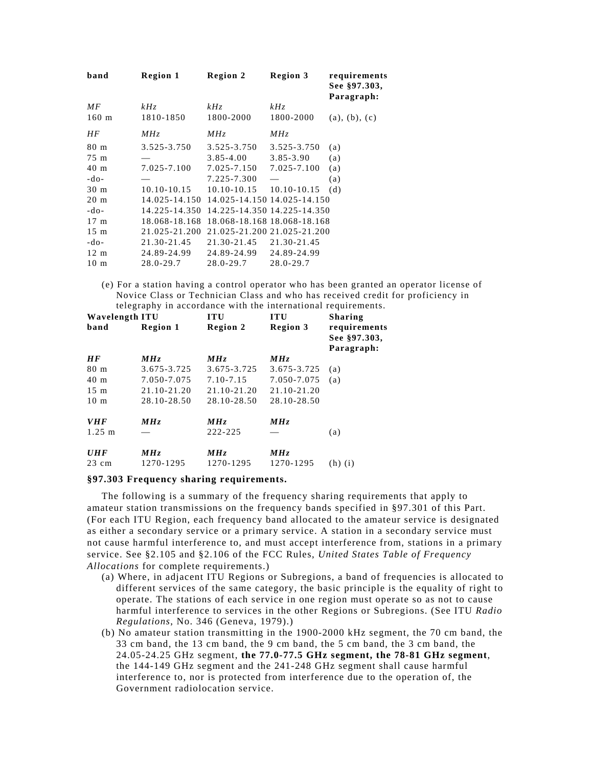| band            | <b>Region 1</b> | <b>Region 2</b>                 | <b>Region 3</b> | requirements<br>See §97.303,<br>Paragraph: |
|-----------------|-----------------|---------------------------------|-----------------|--------------------------------------------|
| МF              | kHz             | kHz                             | kHz             |                                            |
| $160$ m         | 1810-1850       | 1800-2000                       | 1800-2000       | (a), (b), (c)                              |
| HF              | MHz             | MHz                             | MHz             |                                            |
| 80 <sub>m</sub> | $3.525 - 3.750$ | 3.525-3.750                     | 3.525-3.750     | (a)                                        |
| 75 m            |                 | $3.85 - 4.00$                   | $3.85 - 3.90$   | (a)                                        |
| $40 \text{ m}$  | 7.025-7.100     | 7.025-7.150                     | 7.025-7.100     | (a)                                        |
| $-do-$          |                 | 7.225-7.300                     |                 | (a)                                        |
| 30 <sub>m</sub> | $10.10 - 10.15$ | $10.10 - 10.15$ $10.10 - 10.15$ |                 | (d)                                        |
| $20 \text{ m}$  | 14.025-14.150   | 14.025-14.150 14.025-14.150     |                 |                                            |
| $-do-$          | 14.225-14.350   | 14.225-14.350 14.225-14.350     |                 |                                            |
| $17 \text{ m}$  | 18.068-18.168   | 18.068-18.168 18.068-18.168     |                 |                                            |
| $15 \text{ m}$  | 21.025-21.200   | 21.025-21.200 21.025-21.200     |                 |                                            |
| $-do-$          | 21.30-21.45     | 21.30-21.45 21.30-21.45         |                 |                                            |
| $12 \text{ m}$  | 24.89-24.99     | 24.89-24.99 24.89-24.99         |                 |                                            |
| 10 <sub>m</sub> | $28.0 - 29.7$   | 28.0-29.7                       | 28.0-29.7       |                                            |

(e) For a station having a control operator who has been granted an operator license of Novice Class or Technician Class and who has received credit for proficiency in telegraphy in accordance with the international requirements.

| Wavelength ITU       |                           | <b>ITU</b>                                     | <b>ITU</b>      | <b>Sharing</b>                             |
|----------------------|---------------------------|------------------------------------------------|-----------------|--------------------------------------------|
| band                 | <b>Region 1</b>           | <b>Region 2</b>                                | <b>Region 3</b> | requirements<br>See §97.303,<br>Paragraph: |
| <b>HF</b>            | $\mathbf{M} \mathbf{H}$ z | MHz                                            | MHz             |                                            |
| 80 <sub>m</sub>      | 3.675-3.725               | 3.675-3.725                                    | 3.675-3.725     | (a)                                        |
| $40 \text{ m}$       | 7.050-7.075               | 7.10-7.15                                      | 7.050-7.075     | (a)                                        |
| $15 \text{ m}$       | 21.10-21.20               | 21.10-21.20                                    | 21.10-21.20     |                                            |
| 10 <sub>m</sub>      | 28.10-28.50               | 28.10-28.50                                    | 28.10-28.50     |                                            |
| <b>VHF</b>           | MHz                       | $\boldsymbol{M} \boldsymbol{H} \boldsymbol{z}$ | MHz             |                                            |
| $1.25 \; \mathrm{m}$ |                           | 222-225                                        |                 | (a)                                        |
| <b>UHF</b>           | MHz                       | $\boldsymbol{M} \boldsymbol{H} \boldsymbol{z}$ | MHz             |                                            |
| $23 \text{ cm}$      | 1270-1295                 | 1270-1295                                      | 1270-1295       | $(h)$ (i)                                  |

#### **§97.303 Frequency sharing requirements.**

The following is a summary of the frequency sharing requirements that apply to amateur station transmissions on the frequency bands specified in §97.301 of this Part. (For each ITU Region, each frequency band allocated to the amateur service is designated as either a secondary service or a primary service. A station in a secondary service must not cause harmful interference to, and must accept interference from, stations in a primary service. See §2.105 and §2.106 of the FCC Rules, *United States Table of Frequency Allocations* for complete requirements.)

- (a) Where, in adjacent ITU Regions or Subregions, a band of frequencies is allocated to different services of the same category, the basic principle is the equality of right to operate. The stations of each service in one region must operate so as not to cause harmful interference to services in the other Regions or Subregions. (See ITU *Radio Regulations*, No. 346 (Geneva, 1979).)
- (b) No amateur station transmitting in the 1900-2000 kHz segment, the 70 cm band, the 33 cm band, the 13 cm band, the 9 cm band, the 5 cm band, the 3 cm band, the 24.05-24.25 GHz segment, **the 77.0-77.5 GHz segment, the 78-81 GHz segment**, the 144-149 GHz segment and the 241-248 GHz segment shall cause harmful interference to, nor is protected from interference due to the operation of, the Government radiolocation service.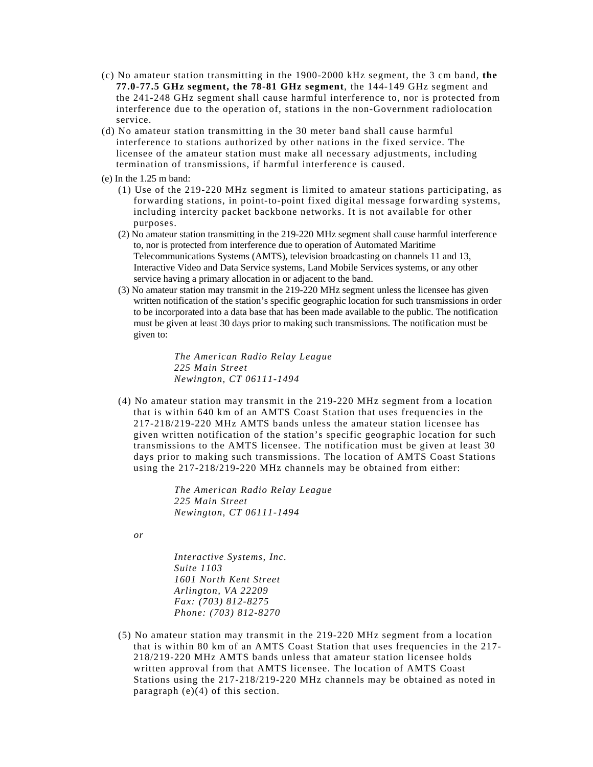- (c) No amateur station transmitting in the 1900-2000 kHz segment, the 3 cm band, **the 77.0-77.5 GHz segment, the 78-81 GHz segment**, the 144-149 GHz segment and the 241-248 GHz segment shall cause harmful interference to, nor is protected from interference due to the operation of, stations in the non-Government radiolocation service.
- (d) No amateur station transmitting in the 30 meter band shall cause harmful interference to stations authorized by other nations in the fixed service. The licensee of the amateur station must make all necessary adjustments, including termination of transmissions, if harmful interference is caused.
- (e) In the 1.25 m band:
	- (1) Use of the 219-220 MHz segment is limited to amateur stations participating, as forwarding stations, in point-to-point fixed digital message forwarding systems, including intercity packet backbone networks. It is not available for other purposes.
	- (2) No amateur station transmitting in the 219-220 MHz segment shall cause harmful interference to, nor is protected from interference due to operation of Automated Maritime Telecommunications Systems (AMTS), television broadcasting on channels 11 and 13, Interactive Video and Data Service systems, Land Mobile Services systems, or any other service having a primary allocation in or adjacent to the band.
	- (3) No amateur station may transmit in the 219-220 MHz segment unless the licensee has given written notification of the station's specific geographic location for such transmissions in order to be incorporated into a data base that has been made available to the public. The notification must be given at least 30 days prior to making such transmissions. The notification must be given to:

*The American Radio Relay League 225 Main Street Newington, CT 06111-1494* 

(4) No amateur station may transmit in the 219-220 MHz segment from a location that is within 640 km of an AMTS Coast Station that uses frequencies in the 217-218/219-220 MHz AMTS bands unless the amateur station licensee has given written notification of the station's specific geographic location for such transmissions to the AMTS licensee. The notification must be given at least 30 days prior to making such transmissions. The location of AMTS Coast Stations using the 217-218/219-220 MHz channels may be obtained from either:

> *The American Radio Relay League 225 Main Street Newington, CT 06111-1494*

 *or* 

*Interactive Systems, Inc. Suite 1103 1601 North Kent Street Arlington, VA 22209 Fax: (703) 812-8275 Phone: (703) 812-8270* 

(5) No amateur station may transmit in the 219-220 MHz segment from a location that is within 80 km of an AMTS Coast Station that uses frequencies in the 217- 218/219-220 MHz AMTS bands unless that amateur station licensee holds written approval from that AMTS licensee. The location of AMTS Coast Stations using the 217-218/219-220 MHz channels may be obtained as noted in paragraph (e)(4) of this section.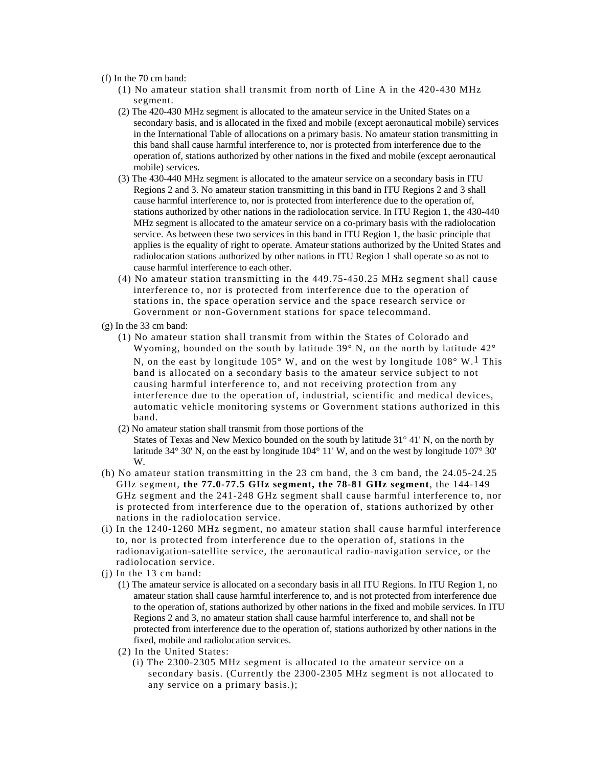#### (f) In the 70 cm band:

- (1) No amateur station shall transmit from north of Line A in the 420-430 MHz segment.
- (2) The 420-430 MHz segment is allocated to the amateur service in the United States on a secondary basis, and is allocated in the fixed and mobile (except aeronautical mobile) services in the International Table of allocations on a primary basis. No amateur station transmitting in this band shall cause harmful interference to, nor is protected from interference due to the operation of, stations authorized by other nations in the fixed and mobile (except aeronautical mobile) services.
- (3) The 430-440 MHz segment is allocated to the amateur service on a secondary basis in ITU Regions 2 and 3. No amateur station transmitting in this band in ITU Regions 2 and 3 shall cause harmful interference to, nor is protected from interference due to the operation of, stations authorized by other nations in the radiolocation service. In ITU Region 1, the 430-440 MHz segment is allocated to the amateur service on a co-primary basis with the radiolocation service. As between these two services in this band in ITU Region 1, the basic principle that applies is the equality of right to operate. Amateur stations authorized by the United States and radiolocation stations authorized by other nations in ITU Region 1 shall operate so as not to cause harmful interference to each other.
- (4) No amateur station transmitting in the 449.75-450.25 MHz segment shall cause interference to, nor is protected from interference due to the operation of stations in, the space operation service and the space research service or Government or non-Government stations for space telecommand.
- (g) In the 33 cm band:
	- (1) No amateur station shall transmit from within the States of Colorado and Wyoming, bounded on the south by latitude 39° N, on the north by latitude 42° N, on the east by longitude  $105^{\circ}$  W, and on the west by longitude  $108^{\circ}$  W.<sup>1</sup> This band is allocated on a secondary basis to the amateur service subject to not causing harmful interference to, and not receiving protection from any interference due to the operation of, industrial, scientific and medical devices, automatic vehicle monitoring systems or Government stations authorized in this band.
	- (2) No amateur station shall transmit from those portions of the States of Texas and New Mexico bounded on the south by latitude 31° 41' N, on the north by latitude 34° 30' N, on the east by longitude 104° 11' W, and on the west by longitude 107° 30' W.
- (h) No amateur station transmitting in the 23 cm band, the 3 cm band, the 24.05-24.25 GHz segment, **the 77.0-77.5 GHz segment, the 78-81 GHz segment**, the 144-149 GHz segment and the 241-248 GHz segment shall cause harmful interference to, nor is protected from interference due to the operation of, stations authorized by other nations in the radiolocation service.
- (i) In the 1240-1260 MHz segment, no amateur station shall cause harmful interference to, nor is protected from interference due to the operation of, stations in the radionavigation-satellite service, the aeronautical radio-navigation service, or the radiolocation service.
- (j) In the 13 cm band:
	- (1) The amateur service is allocated on a secondary basis in all ITU Regions. In ITU Region 1, no amateur station shall cause harmful interference to, and is not protected from interference due to the operation of, stations authorized by other nations in the fixed and mobile services. In ITU Regions 2 and 3, no amateur station shall cause harmful interference to, and shall not be protected from interference due to the operation of, stations authorized by other nations in the fixed, mobile and radiolocation services.
	- (2) In the United States:
		- (i) The 2300-2305 MHz segment is allocated to the amateur service on a secondary basis. (Currently the 2300-2305 MHz segment is not allocated to any service on a primary basis.);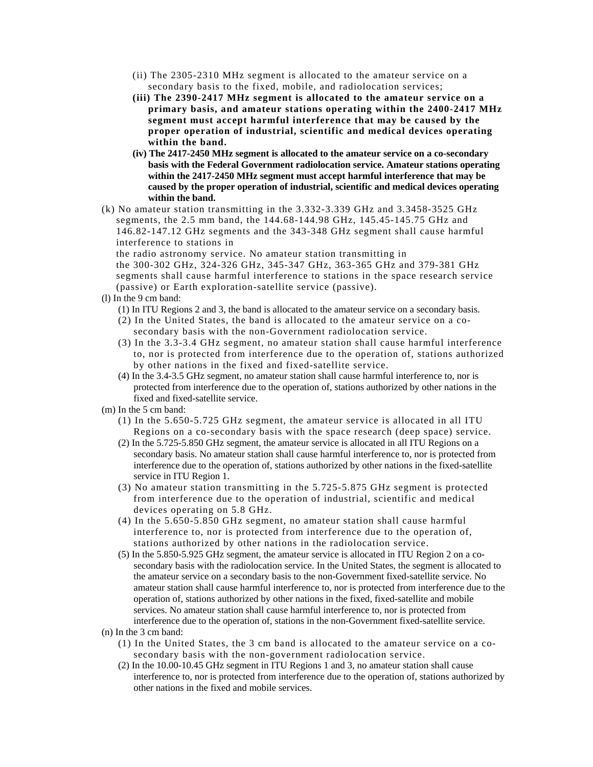- (ii) The 2305-2310 MHz segment is allocated to the amateur service on a secondary basis to the fixed, mobile, and radiolocation services;
- **(iii) The 2390-2417 MHz segment is allocated to the amateur service on a primary basis, and amateur stations operating within the 2400-2417 MHz segment must accept harmful interference that may be caused by the proper operation of industrial, scientific and medical devices operating within the band.**
- **(iv) The 2417-2450 MHz segment is allocated to the amateur service on a co-secondary basis with the Federal Government radiolocation service. Amateur stations operating within the 2417-2450 MHz segment must accept harmful interference that may be caused by the proper operation of industrial, scientific and medical devices operating within the band.**
- (k) No amateur station transmitting in the 3.332-3.339 GHz and 3.3458-3525 GHz segments, the 2.5 mm band, the 144.68-144.98 GHz, 145.45-145.75 GHz and 146.82-147.12 GHz segments and the 343-348 GHz segment shall cause harmful interference to stations in

the radio astronomy service. No amateur station transmitting in the 300-302 GHz, 324-326 GHz, 345-347 GHz, 363-365 GHz and 379-381 GHz segments shall cause harmful interference to stations in the space research service (passive) or Earth exploration-satellite service (passive).

(l) In the 9 cm band:

(1) In ITU Regions 2 and 3, the band is allocated to the amateur service on a secondary basis.

- (2) In the United States, the band is allocated to the amateur service on a cosecondary basis with the non-Government radiolocation service.
- (3) In the 3.3-3.4 GHz segment, no amateur station shall cause harmful interference to, nor is protected from interference due to the operation of, stations authorized by other nations in the fixed and fixed-satellite service.
- (4) In the 3.4-3.5 GHz segment, no amateur station shall cause harmful interference to, nor is protected from interference due to the operation of, stations authorized by other nations in the fixed and fixed-satellite service.
- (m) In the 5 cm band:
	- (1) In the 5.650-5.725 GHz segment, the amateur service is allocated in all ITU Regions on a co-secondary basis with the space research (deep space) service.
	- (2) In the 5.725-5.850 GHz segment, the amateur service is allocated in all ITU Regions on a secondary basis. No amateur station shall cause harmful interference to, nor is protected from interference due to the operation of, stations authorized by other nations in the fixed-satellite service in ITU Region 1.
	- (3) No amateur station transmitting in the 5.725-5.875 GHz segment is protected from interference due to the operation of industrial, scientific and medical devices operating on 5.8 GHz.
	- (4) In the 5.650-5.850 GHz segment, no amateur station shall cause harmful interference to, nor is protected from interference due to the operation of, stations authorized by other nations in the radiolocation service.
	- (5) In the 5.850-5.925 GHz segment, the amateur service is allocated in ITU Region 2 on a cosecondary basis with the radiolocation service. In the United States, the segment is allocated to the amateur service on a secondary basis to the non-Government fixed-satellite service. No amateur station shall cause harmful interference to, nor is protected from interference due to the operation of, stations authorized by other nations in the fixed, fixed-satellite and mobile services. No amateur station shall cause harmful interference to, nor is protected from interference due to the operation of, stations in the non-Government fixed-satellite service.
- (n) In the 3 cm band:
	- (1) In the United States, the 3 cm band is allocated to the amateur service on a cosecondary basis with the non-government radiolocation service.
	- (2) In the 10.00-10.45 GHz segment in ITU Regions 1 and 3, no amateur station shall cause interference to, nor is protected from interference due to the operation of, stations authorized by other nations in the fixed and mobile services.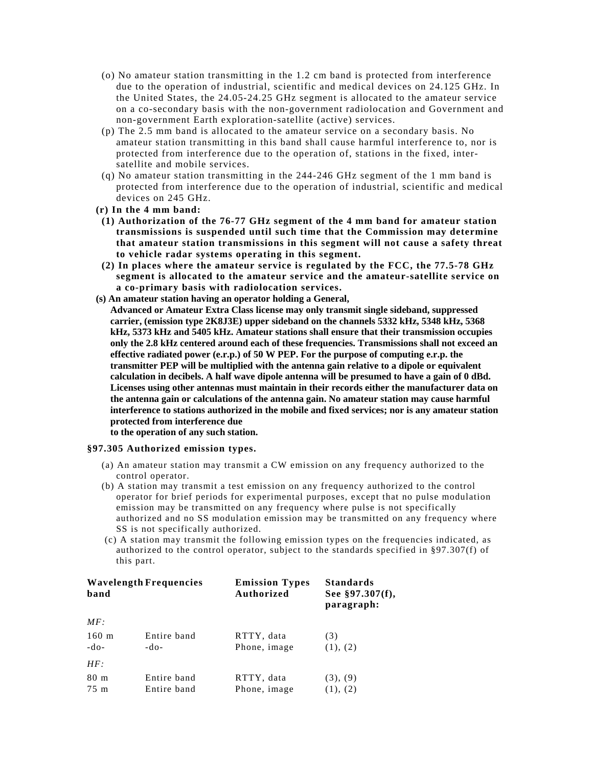- (o) No amateur station transmitting in the 1.2 cm band is protected from interference due to the operation of industrial, scientific and medical devices on 24.125 GHz. In the United States, the 24.05-24.25 GHz segment is allocated to the amateur service on a co-secondary basis with the non-government radiolocation and Government and non-government Earth exploration-satellite (active) services.
- (p) The 2.5 mm band is allocated to the amateur service on a secondary basis. No amateur station transmitting in this band shall cause harmful interference to, nor is protected from interference due to the operation of, stations in the fixed, intersatellite and mobile services.
- (q) No amateur station transmitting in the 244-246 GHz segment of the 1 mm band is protected from interference due to the operation of industrial, scientific and medical devices on 245 GHz.
- **(r) In the 4 mm band:**
- **(1) Authorization of the 76-77 GHz segment of the 4 mm band for amateur station transmissions is suspended until such time that the Commission may determine that amateur station transmissions in this segment will not cause a safety threat to vehicle radar systems operating in this segment.**
- **(2) In places where the amateur service is regulated by the FCC, the 77.5-78 GHz segment is allocated to the amateur service and the amateur-satellite service on a co-primary basis with radiolocation services.**
- **(s) An amateur station having an operator holding a General,**

**Advanced or Amateur Extra Class license may only transmit single sideband, suppressed carrier, (emission type 2K8J3E) upper sideband on the channels 5332 kHz, 5348 kHz, 5368 kHz, 5373 kHz and 5405 kHz. Amateur stations shall ensure that their transmission occupies only the 2.8 kHz centered around each of these frequencies. Transmissions shall not exceed an effective radiated power (e.r.p.) of 50 W PEP. For the purpose of computing e.r.p. the transmitter PEP will be multiplied with the antenna gain relative to a dipole or equivalent calculation in decibels. A half wave dipole antenna will be presumed to have a gain of 0 dBd. Licenses using other antennas must maintain in their records either the manufacturer data on the antenna gain or calculations of the antenna gain. No amateur station may cause harmful interference to stations authorized in the mobile and fixed services; nor is any amateur station protected from interference due** 

**to the operation of any such station.** 

### **§97.305 Authorized emission types.**

- (a) An amateur station may transmit a CW emission on any frequency authorized to the control operator.
- (b) A station may transmit a test emission on any frequency authorized to the control operator for brief periods for experimental purposes, except that no pulse modulation emission may be transmitted on any frequency where pulse is not specifically authorized and no SS modulation emission may be transmitted on any frequency where SS is not specifically authorized.
- (c) A station may transmit the following emission types on the frequencies indicated, as authorized to the control operator, subject to the standards specified in §97.307(f) of this part.

| <b>Wavelength Frequencies</b><br>band |             | <b>Emission Types</b><br>Authorized | <b>Standards</b><br>See §97.307(f),<br>paragraph: |
|---------------------------------------|-------------|-------------------------------------|---------------------------------------------------|
| MF:                                   |             |                                     |                                                   |
| $160 \text{ m}$                       | Entire band | RTTY, data                          | (3)                                               |
| $-do-$                                | $-dO$       | Phone, image                        | (1), (2)                                          |
| HF:                                   |             |                                     |                                                   |
| 80 <sub>m</sub>                       | Entire band | RTTY, data                          | (3), (9)                                          |
| 75 m                                  | Entire band | Phone, image                        | (1), (2)                                          |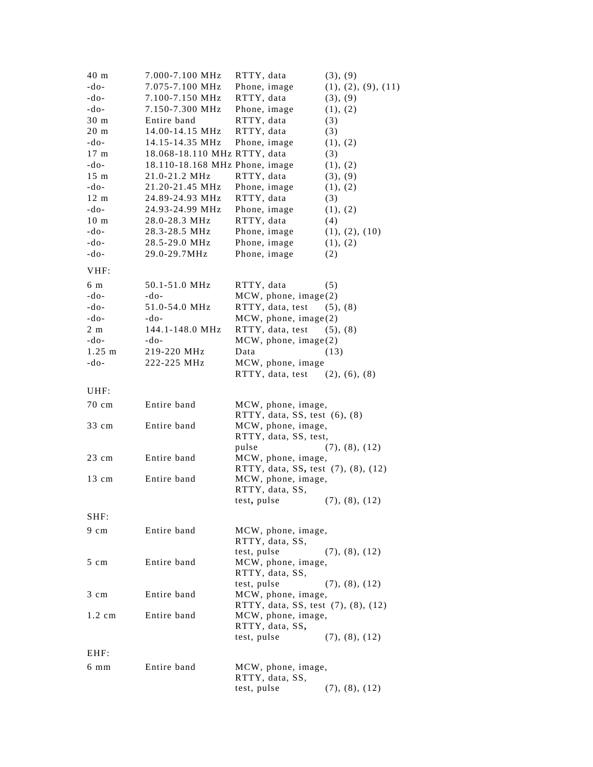| 40 m             | 7.000-7.100 MHz                | RTTY, data                                                | (3), (9)            |
|------------------|--------------------------------|-----------------------------------------------------------|---------------------|
| $-do-$           | 7.075-7.100 MHz                | Phone, image                                              | (1), (2), (9), (11) |
| $-do-$           | 7.100-7.150 MHz                | RTTY, data                                                | (3), (9)            |
| $-do-$           | 7.150-7.300 MHz                | Phone, image                                              | (1), (2)            |
| 30 m             | Entire band                    | RTTY, data                                                | (3)                 |
| 20 <sub>m</sub>  | 14.00-14.15 MHz                | RTTY, data                                                | (3)                 |
| $-do-$           | 14.15-14.35 MHz                | Phone, image                                              | (1), (2)            |
| 17 <sub>m</sub>  | 18.068-18.110 MHz RTTY, data   |                                                           | (3)                 |
| $-do-$           | 18.110-18.168 MHz Phone, image |                                                           | (1), (2)            |
| 15 <sub>m</sub>  | 21.0-21.2 MHz                  | RTTY, data                                                | (3), (9)            |
| $-do-$           | 21.20-21.45 MHz                | Phone, image                                              | (1), (2)            |
| $12 \text{ m}$   | 24.89-24.93 MHz                | RTTY, data                                                | (3)                 |
| $-do-$           | 24.93-24.99 MHz                | Phone, image                                              | (1), (2)            |
| 10 <sub>m</sub>  | 28.0-28.3 MHz                  | RTTY, data                                                | (4)                 |
| $-do-$           | 28.3-28.5 MHz                  | Phone, image                                              | (1), (2), (10)      |
| $-do-$           | 28.5-29.0 MHz                  | Phone, image                                              | (1), (2)            |
| $-do-$           | 29.0-29.7MHz                   | Phone, image                                              | (2)                 |
|                  |                                |                                                           |                     |
| VHF:             |                                |                                                           |                     |
| 6 m              | 50.1-51.0 MHz                  | RTTY, data                                                | (5)                 |
| $-do-$           | $-do-$                         | $MCW$ , phone, image $(2)$                                |                     |
| $-do-$           | 51.0-54.0 MHz                  | RTTY, data, test                                          | (5), (8)            |
| $-do-$           | $-do-$                         | $MCW$ , phone, image $(2)$                                |                     |
| 2 <sub>m</sub>   | 144.1-148.0 MHz                | RTTY, data, test                                          | (5), (8)            |
| $-do-$           | $-do-$                         | $MCW$ , phone, image $(2)$                                |                     |
| $1.25$ m         | 219-220 MHz                    | Data                                                      | (13)                |
| $-do-$           | 222-225 MHz                    | MCW, phone, image                                         |                     |
|                  |                                | RTTY, data, test                                          | (2), (6), (8)       |
| UHF:             |                                |                                                           |                     |
| 70 cm            | Entire band                    | MCW, phone, image,                                        |                     |
|                  |                                | RTTY, data, SS, test $(6)$ , $(8)$                        |                     |
| 33 cm            | Entire band                    | MCW, phone, image,                                        |                     |
|                  |                                | RTTY, data, SS, test,                                     |                     |
|                  |                                | pulse                                                     | (7), (8), (12)      |
|                  |                                |                                                           |                     |
|                  |                                |                                                           |                     |
| 23 cm            | Entire band                    | MCW, phone, image,                                        |                     |
| 13 cm            | Entire band                    | RTTY, data, SS, test (7), (8), (12)<br>MCW, phone, image, |                     |
|                  |                                | RTTY, data, SS,                                           |                     |
|                  |                                | test, pulse                                               | (7), (8), (12)      |
|                  |                                |                                                           |                     |
| SHF:             |                                |                                                           |                     |
| $9 \text{ cm}$   | Entire band                    | MCW, phone, image,                                        |                     |
|                  |                                | RTTY, data, SS,                                           |                     |
|                  |                                | test, pulse                                               | (7), (8), (12)      |
| $5 \text{ cm}$   | Entire band                    | MCW, phone, image,                                        |                     |
|                  |                                | RTTY, data, SS,                                           |                     |
|                  | Entire band                    | test, pulse                                               | (7), (8), (12)      |
| 3 cm             |                                | MCW, phone, image,                                        |                     |
| $1.2 \text{ cm}$ | Entire band                    | RTTY, data, SS, test (7), (8), (12)                       |                     |
|                  |                                | MCW, phone, image,<br>RTTY, data, SS,                     |                     |
|                  |                                | test, pulse                                               | (7), (8), (12)      |
|                  |                                |                                                           |                     |
| EHF:             |                                |                                                           |                     |
| $6 \text{ mm}$   | Entire band                    | MCW, phone, image,                                        |                     |
|                  |                                | RTTY, data, SS,<br>test, pulse                            | (7), (8), (12)      |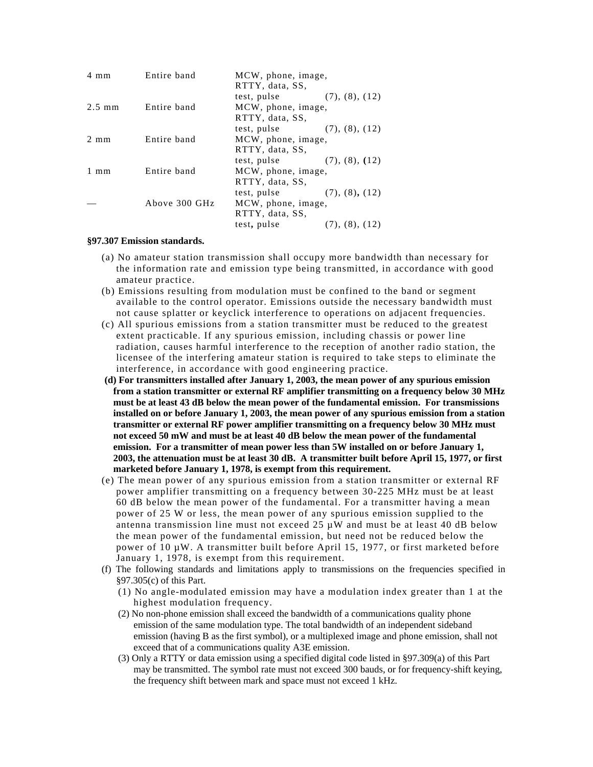| 4 mm             | Entire band   | MCW, phone, image,<br>RTTY, data, SS, |                |
|------------------|---------------|---------------------------------------|----------------|
|                  |               | test, pulse                           | (7), (8), (12) |
| $2.5 \text{ mm}$ | Entire band   | MCW, phone, image,                    |                |
|                  |               | RTTY, data, SS,                       |                |
|                  |               | test, pulse                           | (7), (8), (12) |
| $2 \text{ mm}$   | Entire band   | MCW, phone, image,                    |                |
|                  |               | RTTY, data, SS,                       |                |
|                  |               | test, pulse                           | (7), (8), (12) |
| 1 mm             | Entire band   | MCW, phone, image,                    |                |
|                  |               | RTTY, data, SS.                       |                |
|                  |               | test, pulse                           | (7), (8), (12) |
|                  | Above 300 GHz | MCW, phone, image,                    |                |
|                  |               | RTTY, data, SS,                       |                |
|                  |               | test, pulse                           | (7), (8), (12) |

#### **§97.307 Emission standards.**

- (a) No amateur station transmission shall occupy more bandwidth than necessary for the information rate and emission type being transmitted, in accordance with good amateur practice.
- (b) Emissions resulting from modulation must be confined to the band or segment available to the control operator. Emissions outside the necessary bandwidth must not cause splatter or keyclick interference to operations on adjacent frequencies.
- (c) All spurious emissions from a station transmitter must be reduced to the greatest extent practicable. If any spurious emission, including chassis or power line radiation, causes harmful interference to the reception of another radio station, the licensee of the interfering amateur station is required to take steps to eliminate the interference, in accordance with good engineering practice.
- **(d) For transmitters installed after January 1, 2003, the mean power of any spurious emission from a station transmitter or external RF amplifier transmitting on a frequency below 30 MHz must be at least 43 dB below the mean power of the fundamental emission. For transmissions installed on or before January 1, 2003, the mean power of any spurious emission from a station transmitter or external RF power amplifier transmitting on a frequency below 30 MHz must not exceed 50 mW and must be at least 40 dB below the mean power of the fundamental emission. For a transmitter of mean power less than 5W installed on or before January 1, 2003, the attenuation must be at least 30 dB. A transmitter built before April 15, 1977, or first marketed before January 1, 1978, is exempt from this requirement.**
- (e) The mean power of any spurious emission from a station transmitter or external RF power amplifier transmitting on a frequency between 30-225 MHz must be at least 60 dB below the mean power of the fundamental. For a transmitter having a mean power of 25 W or less, the mean power of any spurious emission supplied to the antenna transmission line must not exceed  $25 \mu W$  and must be at least 40 dB below the mean power of the fundamental emission, but need not be reduced below the power of 10 µW. A transmitter built before April 15, 1977, or first marketed before January 1, 1978, is exempt from this requirement.
- (f) The following standards and limitations apply to transmissions on the frequencies specified in §97.305(c) of this Part.
	- (1) No angle-modulated emission may have a modulation index greater than 1 at the highest modulation frequency.
	- (2) No non-phone emission shall exceed the bandwidth of a communications quality phone emission of the same modulation type. The total bandwidth of an independent sideband emission (having B as the first symbol), or a multiplexed image and phone emission, shall not exceed that of a communications quality A3E emission.
	- (3) Only a RTTY or data emission using a specified digital code listed in §97.309(a) of this Part may be transmitted. The symbol rate must not exceed 300 bauds, or for frequency-shift keying, the frequency shift between mark and space must not exceed 1 kHz.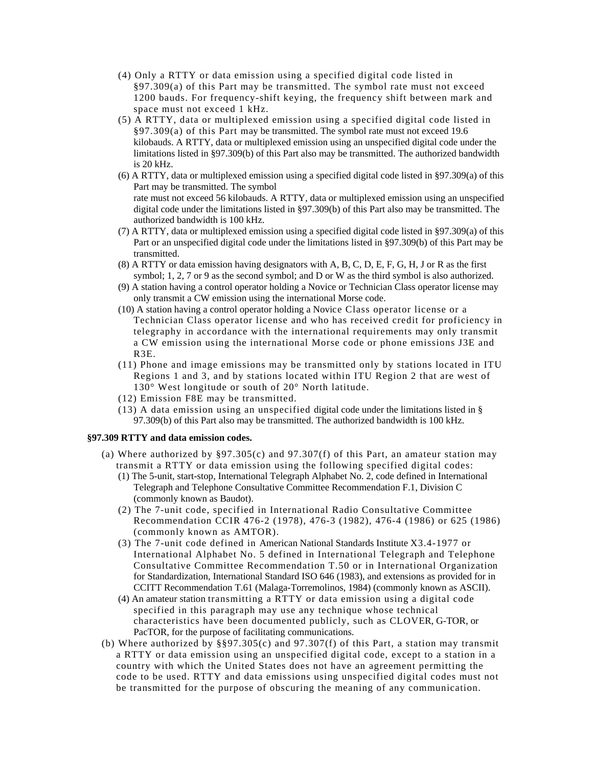- (4) Only a RTTY or data emission using a specified digital code listed in  $§97.309(a)$  of this Part may be transmitted. The symbol rate must not exceed 1200 bauds. For frequency-shift keying, the frequency shift between mark and space must not exceed 1 kHz.
- (5) A RTTY, data or multiplexed emission using a specified digital code listed in §97.309(a) of this Part may be transmitted. The symbol rate must not exceed 19.6 kilobauds. A RTTY, data or multiplexed emission using an unspecified digital code under the limitations listed in §97.309(b) of this Part also may be transmitted. The authorized bandwidth is 20 kHz.
- (6) A RTTY, data or multiplexed emission using a specified digital code listed in §97.309(a) of this Part may be transmitted. The symbol rate must not exceed 56 kilobauds. A RTTY, data or multiplexed emission using an unspecified digital code under the limitations listed in §97.309(b) of this Part also may be transmitted. The authorized bandwidth is 100 kHz.
- (7) A RTTY, data or multiplexed emission using a specified digital code listed in §97.309(a) of this Part or an unspecified digital code under the limitations listed in §97.309(b) of this Part may be transmitted.
- $(8)$  A RTTY or data emission having designators with A, B, C, D, E, F, G, H, J or R as the first symbol; 1, 2, 7 or 9 as the second symbol; and D or W as the third symbol is also authorized.
- (9) A station having a control operator holding a Novice or Technician Class operator license may only transmit a CW emission using the international Morse code.
- (10) A station having a control operator holding a Novice Class operator license or a Technician Class operator license and who has received credit for proficiency in telegraphy in accordance with the international requirements may only transmit a CW emission using the international Morse code or phone emissions J3E and R3E.
- (11) Phone and image emissions may be transmitted only by stations located in ITU Regions 1 and 3, and by stations located within ITU Region 2 that are west of 130° West longitude or south of 20° North latitude.
- (12) Emission F8E may be transmitted.
- (13) A data emission using an unspecified digital code under the limitations listed in § 97.309(b) of this Part also may be transmitted. The authorized bandwidth is 100 kHz.

## **§97.309 RTTY and data emission codes.**

- (a) Where authorized by §97.305(c) and 97.307(f) of this Part, an amateur station may transmit a RTTY or data emission using the following specified digital codes:
	- (1) The 5-unit, start-stop, International Telegraph Alphabet No. 2, code defined in International Telegraph and Telephone Consultative Committee Recommendation F.1, Division C (commonly known as Baudot).
	- (2) The 7-unit code, specified in International Radio Consultative Committee Recommendation CCIR 476-2 (1978), 476-3 (1982), 476-4 (1986) or 625 (1986) (commonly known as AMTOR).
	- (3) The 7-unit code defined in American National Standards Institute X3.4-1977 or International Alphabet No. 5 defined in International Telegraph and Telephone Consultative Committee Recommendation T.50 or in International Organization for Standardization, International Standard ISO 646 (1983), and extensions as provided for in CCITT Recommendation T.61 (Malaga-Torremolinos, 1984) (commonly known as ASCII).
	- (4) An amateur station transmitting a RTTY or data emission using a digital code specified in this paragraph may use any technique whose technical characteristics have been documented publicly, such as CLOVER, G-TOR, or PacTOR, for the purpose of facilitating communications.
- (b) Where authorized by §§97.305(c) and 97.307(f) of this Part, a station may transmit a RTTY or data emission using an unspecified digital code, except to a station in a country with which the United States does not have an agreement permitting the code to be used. RTTY and data emissions using unspecified digital codes must not be transmitted for the purpose of obscuring the meaning of any communication.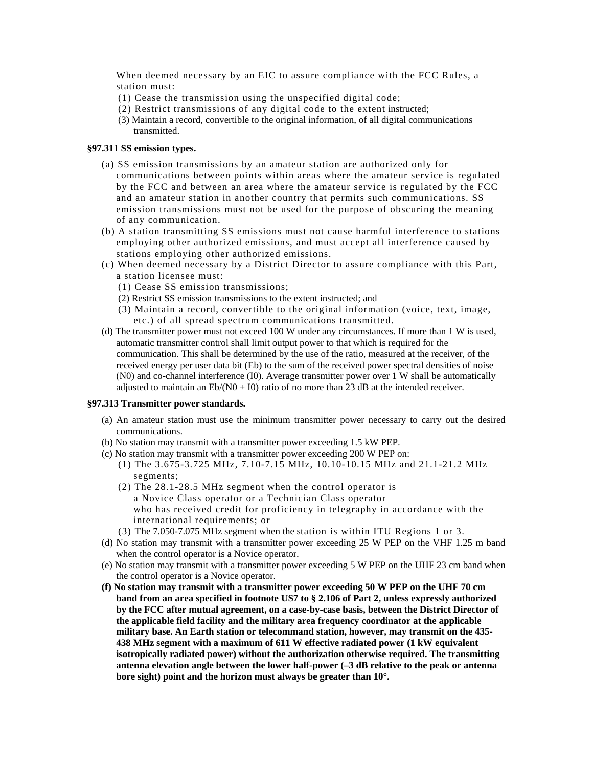When deemed necessary by an EIC to assure compliance with the FCC Rules, a station must:

- (1) Cease the transmission using the unspecified digital code;
- (2) Restrict transmissions of any digital code to the extent instructed;
- (3) Maintain a record, convertible to the original information, of all digital communications transmitted.

#### **§97.311 SS emission types.**

- (a) SS emission transmissions by an amateur station are authorized only for communications between points within areas where the amateur service is regulated by the FCC and between an area where the amateur service is regulated by the FCC and an amateur station in another country that permits such communications. SS emission transmissions must not be used for the purpose of obscuring the meaning of any communication.
- (b) A station transmitting SS emissions must not cause harmful interference to stations employing other authorized emissions, and must accept all interference caused by stations employing other authorized emissions.
- (c) When deemed necessary by a District Director to assure compliance with this Part, a station licensee must:
	- (1) Cease SS emission transmissions;
	- (2) Restrict SS emission transmissions to the extent instructed; and
	- (3) Maintain a record, convertible to the original information (voice, text, image, etc.) of all spread spectrum communications transmitted.
- (d) The transmitter power must not exceed 100 W under any circumstances. If more than 1 W is used, automatic transmitter control shall limit output power to that which is required for the communication. This shall be determined by the use of the ratio, measured at the receiver, of the received energy per user data bit (Eb) to the sum of the received power spectral densities of noise (N0) and co-channel interference (I0). Average transmitter power over 1 W shall be automatically adjusted to maintain an  $Eb/(N0 + I0)$  ratio of no more than 23 dB at the intended receiver.

#### **§97.313 Transmitter power standards.**

- (a) An amateur station must use the minimum transmitter power necessary to carry out the desired communications.
- (b) No station may transmit with a transmitter power exceeding 1.5 kW PEP.
- (c) No station may transmit with a transmitter power exceeding 200 W PEP on:
	- (1) The 3.675-3.725 MHz, 7.10-7.15 MHz, 10.10-10.15 MHz and 21.1-21.2 MHz segments;
	- (2) The 28.1-28.5 MHz segment when the control operator is a Novice Class operator or a Technician Class operator who has received credit for proficiency in telegraphy in accordance with the international requirements; or
	- (3) The 7.050-7.075 MHz segment when the station is within ITU Regions 1 or 3.
- (d) No station may transmit with a transmitter power exceeding 25 W PEP on the VHF 1.25 m band when the control operator is a Novice operator.
- (e) No station may transmit with a transmitter power exceeding 5 W PEP on the UHF 23 cm band when the control operator is a Novice operator.
- **(f) No station may transmit with a transmitter power exceeding 50 W PEP on the UHF 70 cm band from an area specified in footnote US7 to § 2.106 of Part 2, unless expressly authorized by the FCC after mutual agreement, on a case-by-case basis, between the District Director of the applicable field facility and the military area frequency coordinator at the applicable military base. An Earth station or telecommand station, however, may transmit on the 435- 438 MHz segment with a maximum of 611 W effective radiated power (1 kW equivalent isotropically radiated power) without the authorization otherwise required. The transmitting antenna elevation angle between the lower half-power (–3 dB relative to the peak or antenna bore sight) point and the horizon must always be greater than 10°.**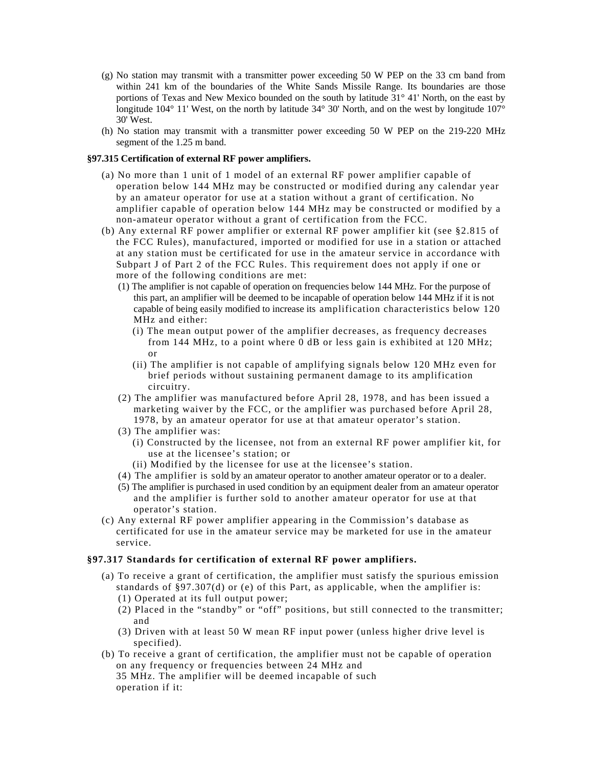- (g) No station may transmit with a transmitter power exceeding 50 W PEP on the 33 cm band from within 241 km of the boundaries of the White Sands Missile Range. Its boundaries are those portions of Texas and New Mexico bounded on the south by latitude 31° 41' North, on the east by longitude 104 $^{\circ}$  11' West, on the north by latitude 34 $^{\circ}$  30' North, and on the west by longitude 107 $^{\circ}$ 30' West.
- (h) No station may transmit with a transmitter power exceeding 50 W PEP on the 219-220 MHz segment of the 1.25 m band.

#### **§97.315 Certification of external RF power amplifiers.**

- (a) No more than 1 unit of 1 model of an external RF power amplifier capable of operation below 144 MHz may be constructed or modified during any calendar year by an amateur operator for use at a station without a grant of certification. No amplifier capable of operation below 144 MHz may be constructed or modified by a non-amateur operator without a grant of certification from the FCC.
- (b) Any external RF power amplifier or external RF power amplifier kit (see §2.815 of the FCC Rules), manufactured, imported or modified for use in a station or attached at any station must be certificated for use in the amateur service in accordance with Subpart J of Part 2 of the FCC Rules. This requirement does not apply if one or more of the following conditions are met:
	- (1) The amplifier is not capable of operation on frequencies below 144 MHz. For the purpose of this part, an amplifier will be deemed to be incapable of operation below 144 MHz if it is not capable of being easily modified to increase its amplification characteristics below 120 MHz and either:
		- (i) The mean output power of the amplifier decreases, as frequency decreases from 144 MHz, to a point where 0 dB or less gain is exhibited at 120 MHz; or
		- (ii) The amplifier is not capable of amplifying signals below 120 MHz even for brief periods without sustaining permanent damage to its amplification circuitry.
	- (2) The amplifier was manufactured before April 28, 1978, and has been issued a marketing waiver by the FCC, or the amplifier was purchased before April 28, 1978, by an amateur operator for use at that amateur operator's station.
	- (3) The amplifier was:
		- (i) Constructed by the licensee, not from an external RF power amplifier kit, for use at the licensee's station; or
		- (ii) Modified by the licensee for use at the licensee's station.
	- (4) The amplifier is sold by an amateur operator to another amateur operator or to a dealer.
	- (5) The amplifier is purchased in used condition by an equipment dealer from an amateur operator and the amplifier is further sold to another amateur operator for use at that operator's station.
- (c) Any external RF power amplifier appearing in the Commission's database as certificated for use in the amateur service may be marketed for use in the amateur service.

## **§97.317 Standards for certification of external RF power amplifiers.**

- (a) To receive a grant of certification, the amplifier must satisfy the spurious emission standards of §97.307(d) or (e) of this Part, as applicable, when the amplifier is:
	- (1) Operated at its full output power;
	- (2) Placed in the "standby" or "off" positions, but still connected to the transmitter; and
	- (3) Driven with at least 50 W mean RF input power (unless higher drive level is specified).
- (b) To receive a grant of certification, the amplifier must not be capable of operation on any frequency or frequencies between 24 MHz and 35 MHz. The amplifier will be deemed incapable of such operation if it: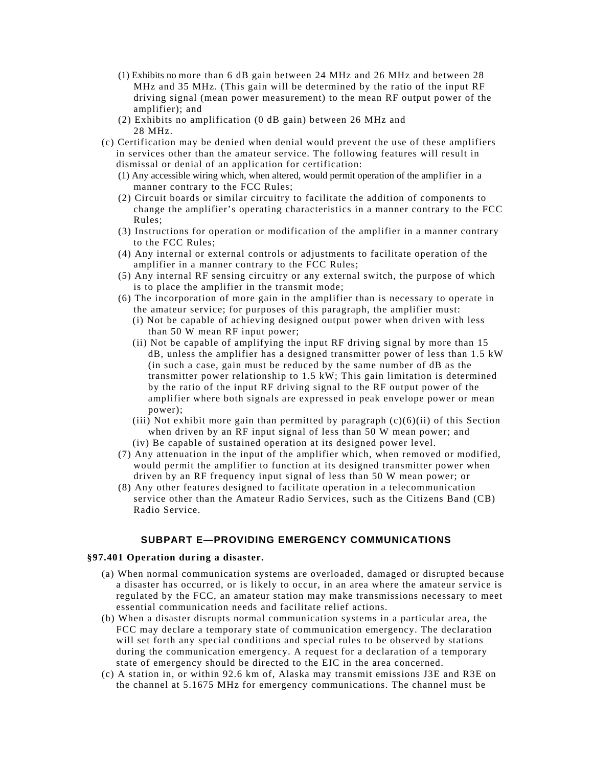- (1) Exhibits no more than 6 dB gain between 24 MHz and 26 MHz and between 28 MHz and 35 MHz. (This gain will be determined by the ratio of the input RF driving signal (mean power measurement) to the mean RF output power of the amplifier); and
- (2) Exhibits no amplification (0 dB gain) between 26 MHz and 28 MHz.
- (c) Certification may be denied when denial would prevent the use of these amplifiers in services other than the amateur service. The following features will result in dismissal or denial of an application for certification:
	- (1) Any accessible wiring which, when altered, would permit operation of the amplifier in a manner contrary to the FCC Rules;
	- (2) Circuit boards or similar circuitry to facilitate the addition of components to change the amplifier's operating characteristics in a manner contrary to the FCC Rules;
	- (3) Instructions for operation or modification of the amplifier in a manner contrary to the FCC Rules;
	- (4) Any internal or external controls or adjustments to facilitate operation of the amplifier in a manner contrary to the FCC Rules;
	- (5) Any internal RF sensing circuitry or any external switch, the purpose of which is to place the amplifier in the transmit mode;
	- (6) The incorporation of more gain in the amplifier than is necessary to operate in the amateur service; for purposes of this paragraph, the amplifier must:
		- (i) Not be capable of achieving designed output power when driven with less than 50 W mean RF input power;
		- (ii) Not be capable of amplifying the input RF driving signal by more than 15 dB, unless the amplifier has a designed transmitter power of less than 1.5 kW (in such a case, gain must be reduced by the same number of dB as the transmitter power relationship to 1.5 kW; This gain limitation is determined by the ratio of the input RF driving signal to the RF output power of the amplifier where both signals are expressed in peak envelope power or mean power);
		- (iii) Not exhibit more gain than permitted by paragraph  $(c)(6)(ii)$  of this Section when driven by an RF input signal of less than 50 W mean power; and
		- (iv) Be capable of sustained operation at its designed power level.
	- (7) Any attenuation in the input of the amplifier which, when removed or modified, would permit the amplifier to function at its designed transmitter power when driven by an RF frequency input signal of less than 50 W mean power; or
	- (8) Any other features designed to facilitate operation in a telecommunication service other than the Amateur Radio Services, such as the Citizens Band (CB) Radio Service.

# **SUBPART E—PROVIDING EMERGENCY COMMUNICATIONS**

#### **§97.401 Operation during a disaster.**

- (a) When normal communication systems are overloaded, damaged or disrupted because a disaster has occurred, or is likely to occur, in an area where the amateur service is regulated by the FCC, an amateur station may make transmissions necessary to meet essential communication needs and facilitate relief actions.
- (b) When a disaster disrupts normal communication systems in a particular area, the FCC may declare a temporary state of communication emergency. The declaration will set forth any special conditions and special rules to be observed by stations during the communication emergency. A request for a declaration of a temporary state of emergency should be directed to the EIC in the area concerned.
- (c) A station in, or within 92.6 km of, Alaska may transmit emissions J3E and R3E on the channel at 5.1675 MHz for emergency communications. The channel must be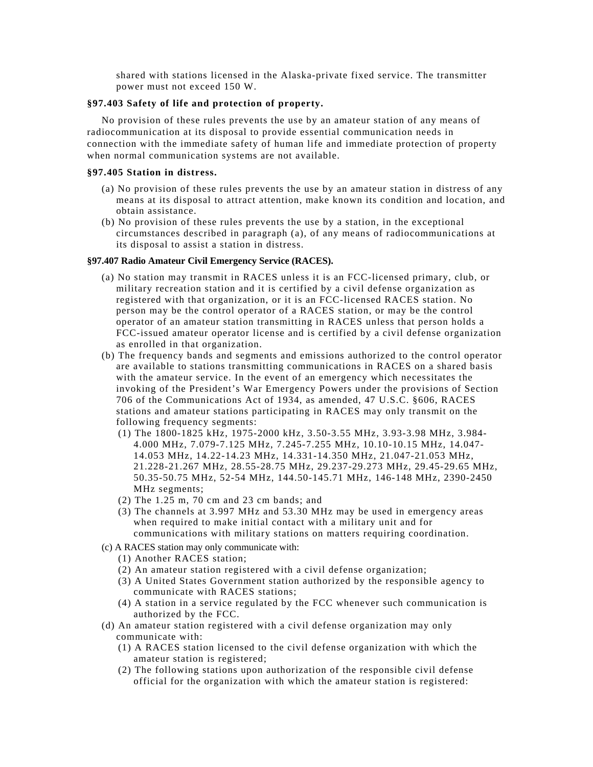shared with stations licensed in the Alaska-private fixed service. The transmitter power must not exceed 150 W.

# **§97.403 Safety of life and protection of property.**

No provision of these rules prevents the use by an amateur station of any means of radiocommunication at its disposal to provide essential communication needs in connection with the immediate safety of human life and immediate protection of property when normal communication systems are not available.

#### **§97.405 Station in distress.**

- (a) No provision of these rules prevents the use by an amateur station in distress of any means at its disposal to attract attention, make known its condition and location, and obtain assistance.
- (b) No provision of these rules prevents the use by a station, in the exceptional circumstances described in paragraph (a), of any means of radiocommunications at its disposal to assist a station in distress.

# **§97.407 Radio Amateur Civil Emergency Service (RACES).**

- (a) No station may transmit in RACES unless it is an FCC-licensed primary, club, or military recreation station and it is certified by a civil defense organization as registered with that organization, or it is an FCC-licensed RACES station. No person may be the control operator of a RACES station, or may be the control operator of an amateur station transmitting in RACES unless that person holds a FCC-issued amateur operator license and is certified by a civil defense organization as enrolled in that organization.
- (b) The frequency bands and segments and emissions authorized to the control operator are available to stations transmitting communications in RACES on a shared basis with the amateur service. In the event of an emergency which necessitates the invoking of the President's War Emergency Powers under the provisions of Section 706 of the Communications Act of 1934, as amended, 47 U.S.C. §606, RACES stations and amateur stations participating in RACES may only transmit on the following frequency segments:
	- (1) The 1800-1825 kHz, 1975-2000 kHz, 3.50-3.55 MHz, 3.93-3.98 MHz, 3.984- 4.000 MHz, 7.079-7.125 MHz, 7.245-7.255 MHz, 10.10-10.15 MHz, 14.047- 14.053 MHz, 14.22-14.23 MHz, 14.331-14.350 MHz, 21.047-21.053 MHz, 21.228-21.267 MHz, 28.55-28.75 MHz, 29.237-29.273 MHz, 29.45-29.65 MHz, 50.35-50.75 MHz, 52-54 MHz, 144.50-145.71 MHz, 146-148 MHz, 2390-2450 MHz segments;
	- (2) The 1.25 m, 70 cm and 23 cm bands; and
	- (3) The channels at 3.997 MHz and 53.30 MHz may be used in emergency areas when required to make initial contact with a military unit and for communications with military stations on matters requiring coordination.
- (c) A RACES station may only communicate with:
	- (1) Another RACES station;
	- (2) An amateur station registered with a civil defense organization;
	- (3) A United States Government station authorized by the responsible agency to communicate with RACES stations;
	- (4) A station in a service regulated by the FCC whenever such communication is authorized by the FCC.
- (d) An amateur station registered with a civil defense organization may only communicate with:
	- (1) A RACES station licensed to the civil defense organization with which the amateur station is registered;
	- (2) The following stations upon authorization of the responsible civil defense official for the organization with which the amateur station is registered: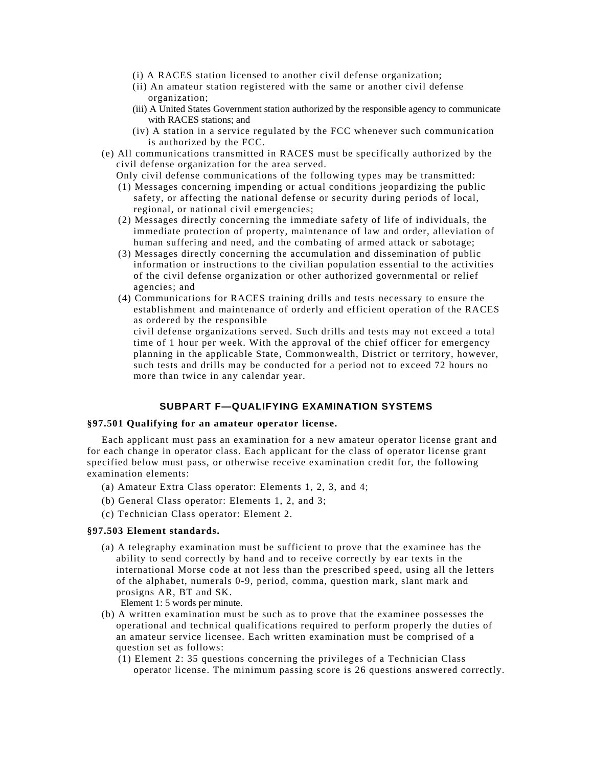- (i) A RACES station licensed to another civil defense organization;
- (ii) An amateur station registered with the same or another civil defense organization;
- (iii) A United States Government station authorized by the responsible agency to communicate with RACES stations; and
- (iv) A station in a service regulated by the FCC whenever such communication is authorized by the FCC.
- (e) All communications transmitted in RACES must be specifically authorized by the civil defense organization for the area served.
	- Only civil defense communications of the following types may be transmitted:
	- (1) Messages concerning impending or actual conditions jeopardizing the public safety, or affecting the national defense or security during periods of local, regional, or national civil emergencies;
	- (2) Messages directly concerning the immediate safety of life of individuals, the immediate protection of property, maintenance of law and order, alleviation of human suffering and need, and the combating of armed attack or sabotage;
	- (3) Messages directly concerning the accumulation and dissemination of public information or instructions to the civilian population essential to the activities of the civil defense organization or other authorized governmental or relief agencies; and
	- (4) Communications for RACES training drills and tests necessary to ensure the establishment and maintenance of orderly and efficient operation of the RACES as ordered by the responsible

civil defense organizations served. Such drills and tests may not exceed a total time of 1 hour per week. With the approval of the chief officer for emergency planning in the applicable State, Commonwealth, District or territory, however, such tests and drills may be conducted for a period not to exceed 72 hours no more than twice in any calendar year.

# **SUBPART F—QUALIFYING EXAMINATION SYSTEMS**

#### **§97.501 Qualifying for an amateur operator license.**

Each applicant must pass an examination for a new amateur operator license grant and for each change in operator class. Each applicant for the class of operator license grant specified below must pass, or otherwise receive examination credit for, the following examination elements:

- (a) Amateur Extra Class operator: Elements 1, 2, 3, and 4;
- (b) General Class operator: Elements 1, 2, and 3;
- (c) Technician Class operator: Element 2.

#### **§97.503 Element standards.**

(a) A telegraphy examination must be sufficient to prove that the examinee has the ability to send correctly by hand and to receive correctly by ear texts in the international Morse code at not less than the prescribed speed, using all the letters of the alphabet, numerals 0-9, period, comma, question mark, slant mark and prosigns AR, BT and SK.

Element 1: 5 words per minute.

- (b) A written examination must be such as to prove that the examinee possesses the operational and technical qualifications required to perform properly the duties of an amateur service licensee. Each written examination must be comprised of a question set as follows:
	- (1) Element 2: 35 questions concerning the privileges of a Technician Class operator license. The minimum passing score is 26 questions answered correctly.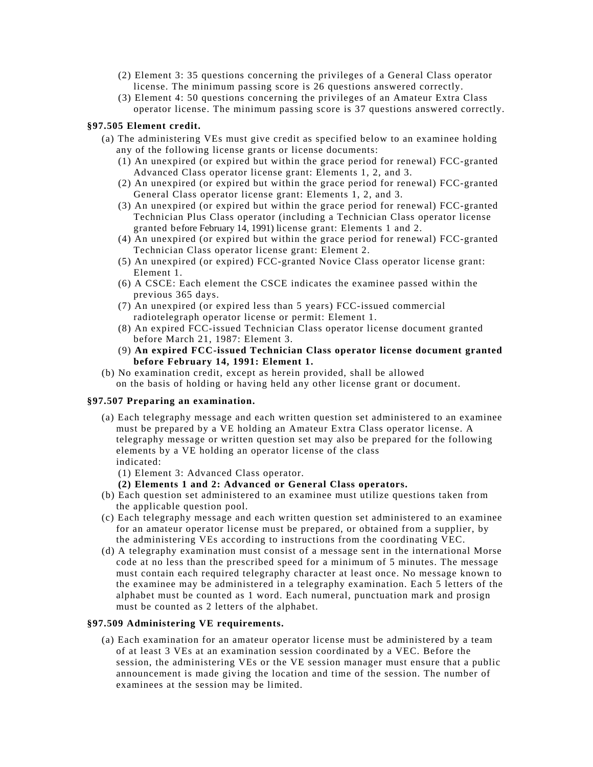- (2) Element 3: 35 questions concerning the privileges of a General Class operator license. The minimum passing score is 26 questions answered correctly.
- (3) Element 4: 50 questions concerning the privileges of an Amateur Extra Class operator license. The minimum passing score is 37 questions answered correctly.

#### **§97.505 Element credit.**

- (a) The administering VEs must give credit as specified below to an examinee holding any of the following license grants or license documents:
	- (1) An unexpired (or expired but within the grace period for renewal) FCC-granted Advanced Class operator license grant: Elements 1, 2, and 3.
	- (2) An unexpired (or expired but within the grace period for renewal) FCC-granted General Class operator license grant: Elements 1, 2, and 3.
	- (3) An unexpired (or expired but within the grace period for renewal) FCC-granted Technician Plus Class operator (including a Technician Class operator license granted before February 14, 1991) license grant: Elements 1 and 2.
	- (4) An unexpired (or expired but within the grace period for renewal) FCC-granted Technician Class operator license grant: Element 2.
	- (5) An unexpired (or expired) FCC-granted Novice Class operator license grant: Element 1.
	- (6) A CSCE: Each element the CSCE indicates the examinee passed within the previous 365 days.
	- (7) An unexpired (or expired less than 5 years) FCC-issued commercial radiotelegraph operator license or permit: Element 1.
	- (8) An expired FCC-issued Technician Class operator license document granted before March 21, 1987: Element 3.
	- (9) **An expired FCC-issued Technician Class operator license document granted before February 14, 1991: Element 1.**
- (b) No examination credit, except as herein provided, shall be allowed on the basis of holding or having held any other license grant or document.

#### **§97.507 Preparing an examination.**

- (a) Each telegraphy message and each written question set administered to an examinee must be prepared by a VE holding an Amateur Extra Class operator license. A telegraphy message or written question set may also be prepared for the following elements by a VE holding an operator license of the class indicated:
	- (1) Element 3: Advanced Class operator.

# **(2) Elements 1 and 2: Advanced or General Class operators.**

- (b) Each question set administered to an examinee must utilize questions taken from the applicable question pool.
- (c) Each telegraphy message and each written question set administered to an examinee for an amateur operator license must be prepared, or obtained from a supplier, by the administering VEs according to instructions from the coordinating VEC.
- (d) A telegraphy examination must consist of a message sent in the international Morse code at no less than the prescribed speed for a minimum of 5 minutes. The message must contain each required telegraphy character at least once. No message known to the examinee may be administered in a telegraphy examination. Each 5 letters of the alphabet must be counted as 1 word. Each numeral, punctuation mark and prosign must be counted as 2 letters of the alphabet.

#### **§97.509 Administering VE requirements.**

(a) Each examination for an amateur operator license must be administered by a team of at least 3 VEs at an examination session coordinated by a VEC. Before the session, the administering VEs or the VE session manager must ensure that a public announcement is made giving the location and time of the session. The number of examinees at the session may be limited.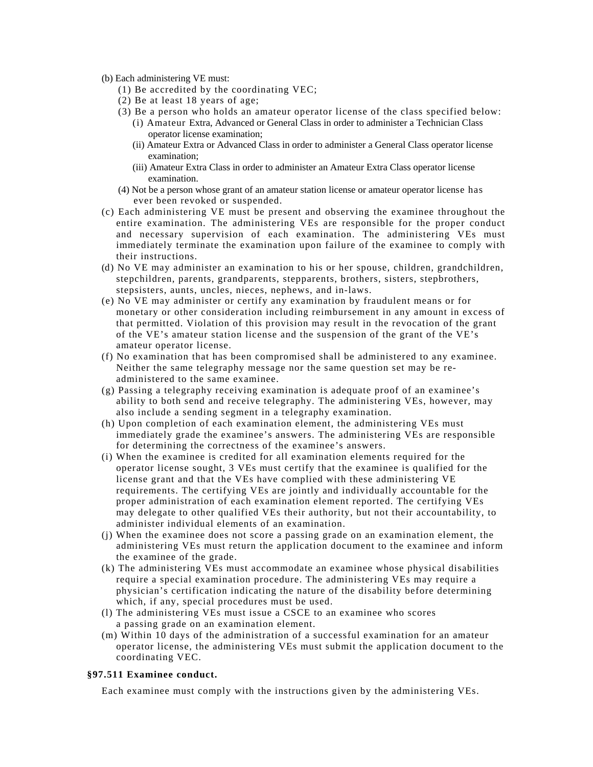#### (b) Each administering VE must:

- (1) Be accredited by the coordinating VEC;
- (2) Be at least 18 years of age;
- (3) Be a person who holds an amateur operator license of the class specified below: (i) Amateur Extra, Advanced or General Class in order to administer a Technician Class operator license examination;
	- (ii) Amateur Extra or Advanced Class in order to administer a General Class operator license examination;
	- (iii) Amateur Extra Class in order to administer an Amateur Extra Class operator license examination.
- (4) Not be a person whose grant of an amateur station license or amateur operator license has ever been revoked or suspended.
- (c) Each administering VE must be present and observing the examinee throughout the entire examination. The administering VEs are responsible for the proper conduct and necessary supervision of each examination. The administering VEs must immediately terminate the examination upon failure of the examinee to comply with their instructions.
- (d) No VE may administer an examination to his or her spouse, children, grandchildren, stepchildren, parents, grandparents, stepparents, brothers, sisters, stepbrothers, stepsisters, aunts, uncles, nieces, nephews, and in-laws.
- (e) No VE may administer or certify any examination by fraudulent means or for monetary or other consideration including reimbursement in any amount in excess of that permitted. Violation of this provision may result in the revocation of the grant of the VE's amateur station license and the suspension of the grant of the VE's amateur operator license.
- (f) No examination that has been compromised shall be administered to any examinee. Neither the same telegraphy message nor the same question set may be readministered to the same examinee.
- (g) Passing a telegraphy receiving examination is adequate proof of an examinee's ability to both send and receive telegraphy. The administering VEs, however, may also include a sending segment in a telegraphy examination.
- (h) Upon completion of each examination element, the administering VEs must immediately grade the examinee's answers. The administering VEs are responsible for determining the correctness of the examinee's answers.
- (i) When the examinee is credited for all examination elements required for the operator license sought, 3 VEs must certify that the examinee is qualified for the license grant and that the VEs have complied with these administering VE requirements. The certifying VEs are jointly and individually accountable for the proper administration of each examination element reported. The certifying VEs may delegate to other qualified VEs their authority, but not their accountability, to administer individual elements of an examination.
- (j) When the examinee does not score a passing grade on an examination element, the administering VEs must return the application document to the examinee and inform the examinee of the grade.
- (k) The administering VEs must accommodate an examinee whose physical disabilities require a special examination procedure. The administering VEs may require a physician's certification indicating the nature of the disability before determining which, if any, special procedures must be used.
- (l) The administering VEs must issue a CSCE to an examinee who scores a passing grade on an examination element.
- (m) Within 10 days of the administration of a successful examination for an amateur operator license, the administering VEs must submit the application document to the coordinating VEC.

#### **§97.511 Examinee conduct.**

Each examinee must comply with the instructions given by the administering VEs.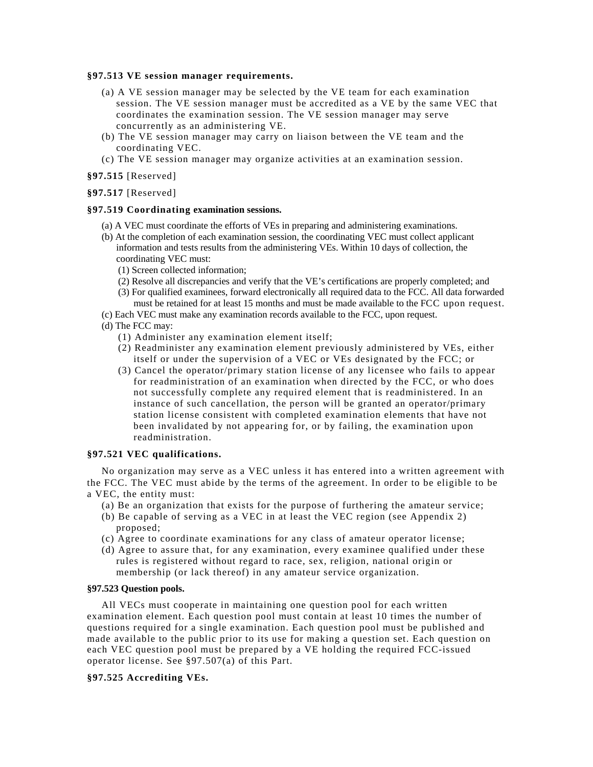#### **§97.513 VE session manager requirements.**

- (a) A VE session manager may be selected by the VE team for each examination session. The VE session manager must be accredited as a VE by the same VEC that coordinates the examination session. The VE session manager may serve concurrently as an administering VE.
- (b) The VE session manager may carry on liaison between the VE team and the coordinating VEC.
- (c) The VE session manager may organize activities at an examination session.

#### **§97.515** [Reserved]

## **§97.517** [Reserved]

#### **§97.519 Coordinating examination sessions.**

- (a) A VEC must coordinate the efforts of VEs in preparing and administering examinations.
- (b) At the completion of each examination session, the coordinating VEC must collect applicant information and tests results from the administering VEs. Within 10 days of collection, the coordinating VEC must:
	- (1) Screen collected information;
	- (2) Resolve all discrepancies and verify that the VE's certifications are properly completed; and
	- (3) For qualified examinees, forward electronically all required data to the FCC. All data forwarded must be retained for at least 15 months and must be made available to the FCC upon request.
- (c) Each VEC must make any examination records available to the FCC, upon request.
- (d) The FCC may:
	- (1) Administer any examination element itself;
	- (2) Readminister any examination element previously administered by VEs, either itself or under the supervision of a VEC or VEs designated by the FCC; or
	- (3) Cancel the operator/primary station license of any licensee who fails to appear for readministration of an examination when directed by the FCC, or who does not successfully complete any required element that is readministered. In an instance of such cancellation, the person will be granted an operator/primary station license consistent with completed examination elements that have not been invalidated by not appearing for, or by failing, the examination upon readministration.

#### **§97.521 VEC qualifications.**

No organization may serve as a VEC unless it has entered into a written agreement with the FCC. The VEC must abide by the terms of the agreement. In order to be eligible to be a VEC, the entity must:

- (a) Be an organization that exists for the purpose of furthering the amateur service;
- (b) Be capable of serving as a VEC in at least the VEC region (see Appendix 2) proposed;
- (c) Agree to coordinate examinations for any class of amateur operator license;
- (d) Agree to assure that, for any examination, every examinee qualified under these rules is registered without regard to race, sex, religion, national origin or membership (or lack thereof) in any amateur service organization.

#### **§97.523 Question pools.**

All VECs must cooperate in maintaining one question pool for each written examination element. Each question pool must contain at least 10 times the number of questions required for a single examination. Each question pool must be published and made available to the public prior to its use for making a question set. Each question on each VEC question pool must be prepared by a VE holding the required FCC-issued operator license. See §97.507(a) of this Part.

#### **§97.525 Accrediting VEs.**